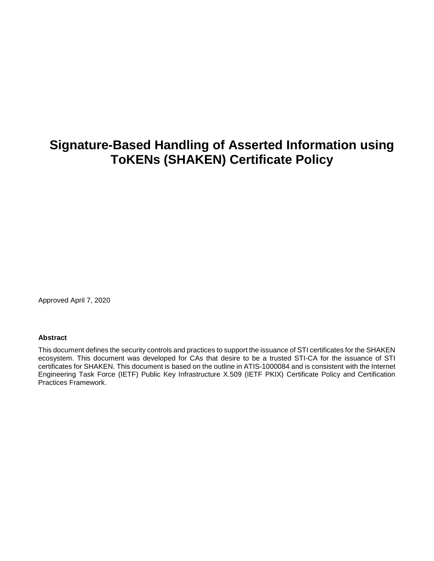# **Signature-Based Handling of Asserted Information using ToKENs (SHAKEN) Certificate Policy**

Approved April 7, 2020

#### **Abstract**

This document defines the security controls and practices to support the issuance of STI certificates for the SHAKEN ecosystem. This document was developed for CAs that desire to be a trusted STI-CA for the issuance of STI certificates for SHAKEN. This document is based on the outline in ATIS-1000084 and is consistent with the Internet Engineering Task Force (IETF) Public Key Infrastructure X.509 (IETF PKIX) Certificate Policy and Certification Practices Framework.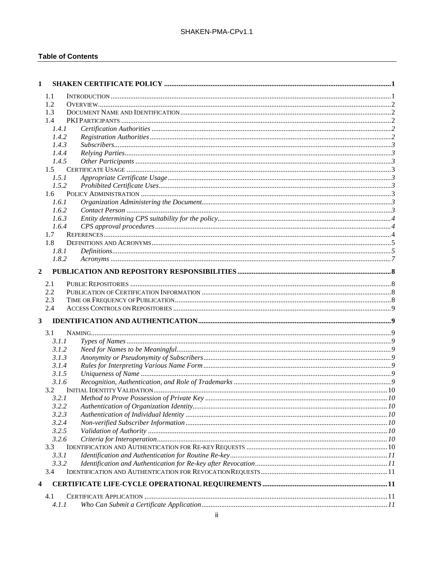#### **Table of Contents**

| 1            |               |  |
|--------------|---------------|--|
|              | 1.1           |  |
|              | 1.2           |  |
|              | 1.3           |  |
|              | 1.4           |  |
|              | 1.4.1         |  |
|              | 1.4.2         |  |
|              | 1.4.3         |  |
|              | 1.4.4         |  |
|              | 1.4.5         |  |
|              | $1.5^{\circ}$ |  |
|              | 1.5.1         |  |
|              | 1.5.2         |  |
|              | 1.6           |  |
|              | 1.6.1         |  |
|              | 1.6.2         |  |
|              | 1.6.3         |  |
|              | 1.6.4         |  |
|              | 1.7           |  |
|              | 1.8           |  |
|              | 1.8.1         |  |
|              | 1.8.2         |  |
| $\mathbf{2}$ |               |  |
|              | 2.1           |  |
|              | 2.2           |  |
|              | 2.3           |  |
|              | 2.4           |  |
| 3            |               |  |
|              |               |  |
|              | 3.1<br>3.1.1  |  |
|              | 3.1.2         |  |
|              | 3.1.3         |  |
|              | 3.1.4         |  |
|              | 3.1.5         |  |
|              | 3.1.6         |  |
|              | 3.2           |  |
|              | 3.2.I         |  |
|              | 3.2.2         |  |
|              | 3.2.3         |  |
|              | 3.2.4         |  |
|              | 3.2.5         |  |
|              | 3.2.6         |  |
|              | 3.3           |  |
|              | 3.3.1         |  |
|              | 3.3.2         |  |
|              | 3.4           |  |
| 4            |               |  |
|              |               |  |
|              | 4.1           |  |
|              | 4.1.1         |  |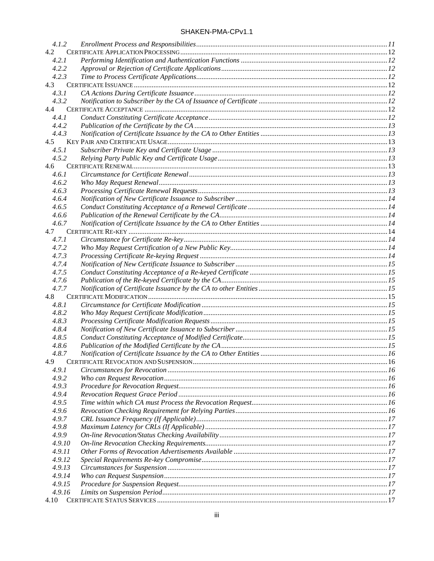| 4.1.2  |  |
|--------|--|
| 4.2    |  |
| 4.2.1  |  |
| 4.2.2  |  |
| 4.2.3  |  |
| 4.3    |  |
| 4.3.1  |  |
| 4.3.2  |  |
| 4.4    |  |
| 4.4.1  |  |
| 4.4.2  |  |
| 4.4.3  |  |
| 4.5    |  |
| 4.5.1  |  |
| 4.5.2  |  |
| 4.6    |  |
| 4.6.1  |  |
| 4.6.2  |  |
| 4.6.3  |  |
| 4.6.4  |  |
| 4.6.5  |  |
| 4.6.6  |  |
| 4.6.7  |  |
| 4.7    |  |
| 4.7.1  |  |
| 4.7.2  |  |
| 4.7.3  |  |
| 4.7.4  |  |
| 4.7.5  |  |
| 4.7.6  |  |
| 4.7.7  |  |
| 4.8    |  |
| 4.8.1  |  |
| 4.8.2  |  |
| 4.8.3  |  |
| 4.8.4  |  |
| 4.8.5  |  |
| 4.8.6  |  |
| 4.8.7  |  |
| 4.9    |  |
| 4.9.1  |  |
| 4.9.2  |  |
| 4.9.3  |  |
| 4.9.4  |  |
| 4.9.5  |  |
| 4.9.6  |  |
| 4.9.7  |  |
| 4.9.8  |  |
|        |  |
| 4.9.9  |  |
| 4.9.10 |  |
| 4.9.11 |  |
| 4.9.12 |  |
| 4.9.13 |  |
| 4.9.14 |  |
| 4.9.15 |  |
| 4.9.16 |  |
|        |  |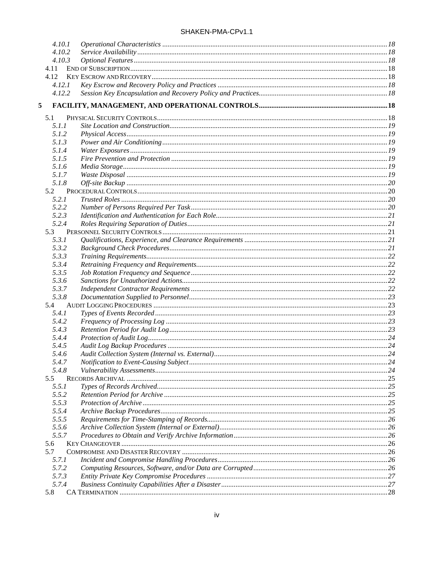| SHAKEN-PMA-CPv1.1 |  |  |
|-------------------|--|--|
|-------------------|--|--|

| 4.10.1         |  |
|----------------|--|
| 4.10.2         |  |
| 4.10.3         |  |
| 4.11           |  |
| 4.12           |  |
| 4.12.1         |  |
| 4.12.2         |  |
| 5              |  |
| 5.1            |  |
| 5.1.1          |  |
| 5.1.2          |  |
| 5.1.3          |  |
| 5.1.4          |  |
| 5.1.5          |  |
| 5.1.6          |  |
| 5.1.7          |  |
| 5.1.8          |  |
| 5.2            |  |
| 5.2.1          |  |
| 5.2.2          |  |
| 5.2.3          |  |
| 5.2.4          |  |
| 5.3            |  |
| 5.3.1          |  |
| 5.3.2          |  |
| 5.3.3          |  |
| 5.3.4          |  |
| 5.3.5<br>5.3.6 |  |
| 5.3.7          |  |
| 5.3.8          |  |
| 5.4            |  |
| 5.4.1          |  |
| 5.4.2          |  |
| 5.4.3          |  |
| 5.4.4          |  |
| 5.4.5          |  |
| 5.4.6          |  |
| 5.4.7          |  |
| 5.4.8          |  |
| 5.5            |  |
| 5.5.1          |  |
| 5.5.2          |  |
| 5.5.3          |  |
| 5.5.4          |  |
| 5.5.5          |  |
| 5.5.6          |  |
| 5.5.7          |  |
| 5.6            |  |
| 5.7            |  |
| 5.7.1          |  |
| 5.7.2          |  |
| 5.7.3<br>5.7.4 |  |
| 5.8            |  |
|                |  |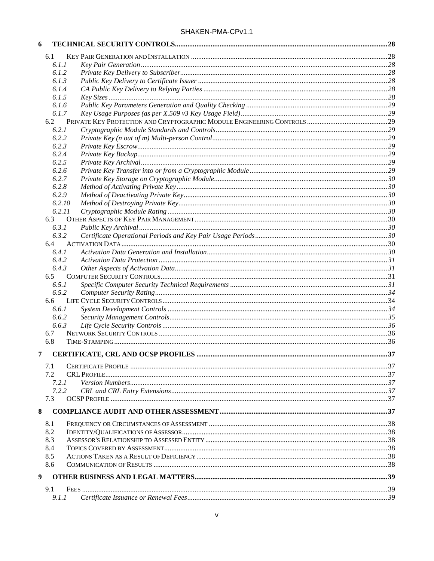| 6 |        |  |
|---|--------|--|
|   | 6.1    |  |
|   | 6.1.1  |  |
|   | 6.1.2  |  |
|   | 6.1.3  |  |
|   | 6.1.4  |  |
|   | 6.1.5  |  |
|   | 6.1.6  |  |
|   | 6.1.7  |  |
|   |        |  |
|   | 6.2.1  |  |
|   | 6.2.2  |  |
|   | 6.2.3  |  |
|   | 6.2.4  |  |
|   | 6.2.5  |  |
|   | 6.2.6  |  |
|   | 6.2.7  |  |
|   | 6.2.8  |  |
|   | 6.2.9  |  |
|   | 6.2.10 |  |
|   | 6.2.11 |  |
|   | 6.3    |  |
|   | 6.3.1  |  |
|   | 6.3.2  |  |
|   | 6.4    |  |
|   | 6.4.1  |  |
|   | 6.4.2  |  |
|   | 6.4.3  |  |
|   | 6.5    |  |
|   | 6.5.1  |  |
|   | 6.5.2  |  |
|   | 6.6    |  |
|   | 6.6.1  |  |
|   | 6.6.2  |  |
|   | 6.6.3  |  |
|   | 6.7    |  |
|   | 6.8    |  |
| 7 |        |  |
|   |        |  |
|   | 7.1    |  |
|   | 7.2    |  |
|   | 7.2.1  |  |
|   | 7.2.2  |  |
|   | 7.3    |  |
| 8 |        |  |
|   | 8.1    |  |
|   | 8.2    |  |
|   | 8.3    |  |
|   | 8.4    |  |
|   | 8.5    |  |
|   | 8.6    |  |
|   |        |  |
| 9 |        |  |
|   | 9.1    |  |
|   | 9.1.1  |  |
|   |        |  |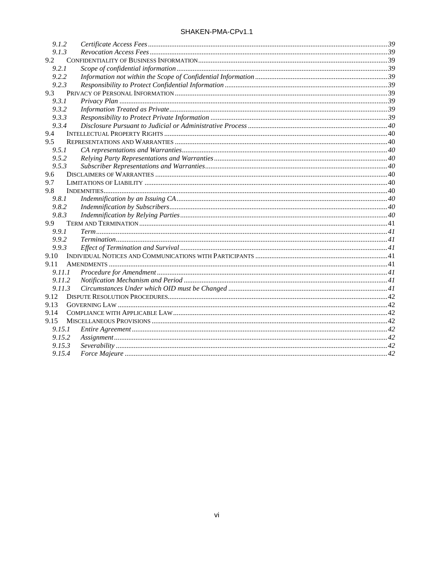| 9.1.2  |                |  |
|--------|----------------|--|
| 9.1.3  |                |  |
| 9.2    |                |  |
| 9.2.1  |                |  |
| 9.2.2  |                |  |
| 9.2.3  |                |  |
| 9.3    |                |  |
| 9.3.1  |                |  |
| 9.3.2  |                |  |
| 9.3.3  |                |  |
| 9.3.4  |                |  |
| 9.4    |                |  |
| 9.5    |                |  |
| 9.5.1  |                |  |
| 9.5.2  |                |  |
| 9.5.3  |                |  |
| 9.6    |                |  |
| 9.7    |                |  |
| 9.8    |                |  |
| 9.8.1  |                |  |
| 9.8.2  |                |  |
| 9.8.3  |                |  |
| 9.9    |                |  |
| 9.9.1  |                |  |
| 9.9.2  |                |  |
| 9.9.3  |                |  |
| 9.10   |                |  |
| 9.11   |                |  |
| 9.11.1 |                |  |
| 9.11.2 |                |  |
| 9.11.3 |                |  |
| 9.12   |                |  |
| 9.13   |                |  |
| 9.14   |                |  |
| 9.15   |                |  |
| 9.15.1 |                |  |
| 9.15.2 | Assignment. 42 |  |
| 9.15.3 |                |  |
| 9.15.4 |                |  |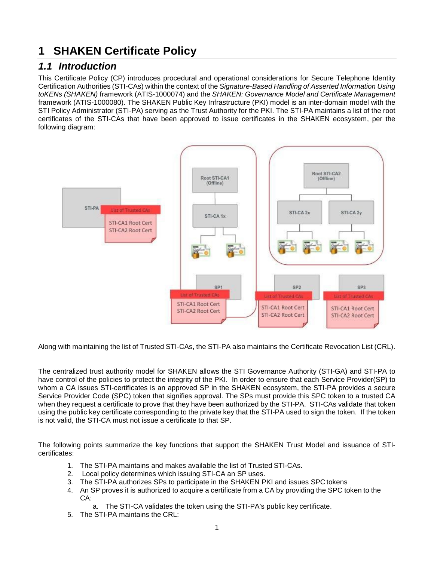# <span id="page-6-0"></span>**1 SHAKEN Certificate Policy**

### <span id="page-6-1"></span>*1.1 Introduction*

This Certificate Policy (CP) introduces procedural and operational considerations for Secure Telephone Identity Certification Authorities (STI-CAs) within the context of the *Signature-Based Handling of Asserted Information Using toKENs (SHAKEN)* framework (ATIS-1000074) and the *SHAKEN: Governance Model and Certificate Management*  framework (ATIS-1000080). The SHAKEN Public Key Infrastructure (PKI) model is an inter-domain model with the STI Policy Administrator (STI-PA) serving as the Trust Authority for the PKI. The STI-PA maintains a list of the root certificates of the STI-CAs that have been approved to issue certificates in the SHAKEN ecosystem, per the following diagram:



Along with maintaining the list of Trusted STI-CAs, the STI-PA also maintains the Certificate Revocation List (CRL).

The centralized trust authority model for SHAKEN allows the STI Governance Authority (STI-GA) and STI-PA to have control of the policies to protect the integrity of the PKI. In order to ensure that each Service Provider(SP) to whom a CA issues STI-certificates is an approved SP in the SHAKEN ecosystem, the STI-PA provides a secure Service Provider Code (SPC) token that signifies approval. The SPs must provide this SPC token to a trusted CA when they request a certificate to prove that they have been authorized by the STI-PA. STI-CAs validate that token using the public key certificate corresponding to the private key that the STI-PA used to sign the token. If the token is not valid, the STI-CA must not issue a certificate to that SP.

The following points summarize the key functions that support the SHAKEN Trust Model and issuance of STIcertificates:

- 1. The STI-PA maintains and makes available the list of Trusted STI-CAs.
- 2. Local policy determines which issuing STI-CA an SP uses.
- 3. The STI-PA authorizes SPs to participate in the SHAKEN PKI and issues SPC tokens
- 4. An SP proves it is authorized to acquire a certificate from a CA by providing the SPC token to the CA:
	- The STI-CA validates the token using the STI-PA's public key certificate.
- 5. The STI-PA maintains the CRL: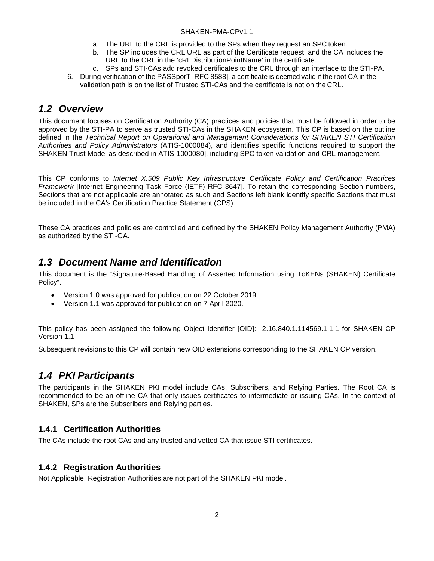- a. The URL to the CRL is provided to the SPs when they request an SPC token.
- b. The SP includes the CRL URL as part of the Certificate request, and the CA includes the URL to the CRL in the 'cRLDistributionPointName' in the certificate.
- c. SPs and STI-CAs add revoked certificates to the CRL through an interface to the STI-PA.
- 6. During verification of the PASSporT [RFC 8588], a certificate is deemed valid if the root CA in the validation path is on the list of Trusted STI-CAs and the certificate is not on the CRL.

### <span id="page-7-0"></span>*1.2 Overview*

This document focuses on Certification Authority (CA) practices and policies that must be followed in order to be approved by the STI-PA to serve as trusted STI-CAs in the SHAKEN ecosystem. This CP is based on the outline defined in the *Technical Report on Operational and Management Considerations for SHAKEN STI Certification Authorities and Policy Administrators* (ATIS-1000084), and identifies specific functions required to support the SHAKEN Trust Model as described in ATIS-1000080], including SPC token validation and CRL management.

This CP conforms to *Internet X.509 Public Key Infrastructure Certificate Policy and Certification Practices Framework* [Internet Engineering Task Force (IETF) RFC 3647]. To retain the corresponding Section numbers, Sections that are not applicable are annotated as such and Sections left blank identify specific Sections that must be included in the CA's Certification Practice Statement (CPS).

These CA practices and policies are controlled and defined by the SHAKEN Policy Management Authority (PMA) as authorized by the STI-GA.

### <span id="page-7-1"></span>*1.3 Document Name and Identification*

This document is the "Signature-Based Handling of Asserted Information using ToKENs (SHAKEN) Certificate Policy".

- Version 1.0 was approved for publication on 22 October 2019.
- Version 1.1 was approved for publication on 7 April 2020.

This policy has been assigned the following Object Identifier [OID]: 2.16.840.1.114569.1.1.1 for SHAKEN CP Version 1.1

Subsequent revisions to this CP will contain new OID extensions corresponding to the SHAKEN CP version.

### <span id="page-7-2"></span>*1.4 PKI Participants*

The participants in the SHAKEN PKI model include CAs, Subscribers, and Relying Parties. The Root CA is recommended to be an offline CA that only issues certificates to intermediate or issuing CAs. In the context of SHAKEN, SPs are the Subscribers and Relying parties.

#### <span id="page-7-3"></span>**1.4.1 Certification Authorities**

The CAs include the root CAs and any trusted and vetted CA that issue STI certificates.

#### <span id="page-7-4"></span>**1.4.2 Registration Authorities**

Not Applicable. Registration Authorities are not part of the SHAKEN PKI model.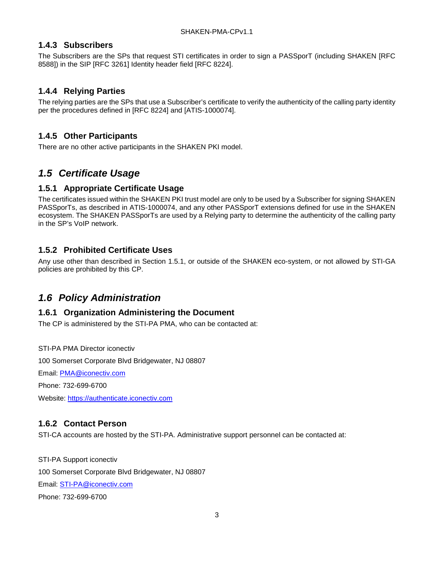#### <span id="page-8-0"></span>**1.4.3 Subscribers**

The Subscribers are the SPs that request STI certificates in order to sign a PASSporT (including SHAKEN [RFC 8588]) in the SIP [RFC 3261] Identity header field [RFC 8224].

#### <span id="page-8-1"></span>**1.4.4 Relying Parties**

The relying parties are the SPs that use a Subscriber's certificate to verify the authenticity of the calling party identity per the procedures defined in [RFC 8224] and [ATIS-1000074].

#### <span id="page-8-2"></span>**1.4.5 Other Participants**

There are no other active participants in the SHAKEN PKI model.

## <span id="page-8-3"></span>*1.5 Certificate Usage*

#### <span id="page-8-4"></span>**1.5.1 Appropriate Certificate Usage**

The certificates issued within the SHAKEN PKI trust model are only to be used by a Subscriber for signing SHAKEN PASSporTs, as described in ATIS-1000074, and any other PASSporT extensions defined for use in the SHAKEN ecosystem. The SHAKEN PASSporTs are used by a Relying party to determine the authenticity of the calling party in the SP's VoIP network.

#### <span id="page-8-5"></span>**1.5.2 Prohibited Certificate Uses**

Any use other than described in Section 1.5.1, or outside of the SHAKEN eco-system, or not allowed by STI-GA policies are prohibited by this CP.

### <span id="page-8-6"></span>*1.6 Policy Administration*

#### <span id="page-8-7"></span>**1.6.1 Organization Administering the Document**

The CP is administered by the STI-PA PMA, who can be contacted at:

STI-PA PMA Director iconectiv 100 Somerset Corporate Blvd Bridgewater, NJ 08807

Email: [PMA@iconectiv.com](mailto:PMA@iconectiv.com)

Phone: 732-699-6700

Website: [https://authenticate.iconectiv.com](https://authenticate.iconectiv.com/)

#### <span id="page-8-8"></span>**1.6.2 Contact Person**

STI-CA accounts are hosted by the STI-PA. Administrative support personnel can be contacted at:

STI-PA Support iconectiv 100 Somerset Corporate Blvd Bridgewater, NJ 08807 Email: [STI-PA@iconectiv.com](mailto:STI-PA@iconectiv.com) Phone: 732-699-6700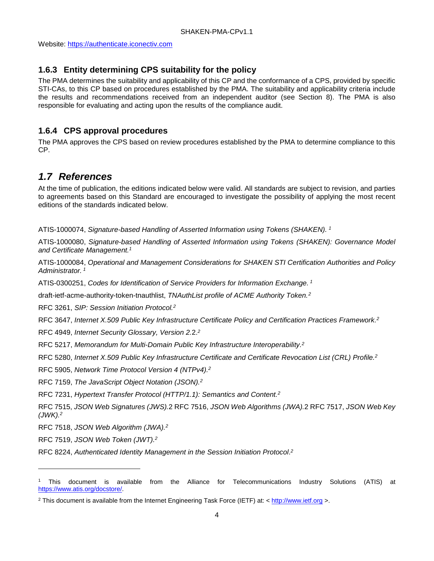Website: [https://authenticate.iconectiv.com](https://authenticate.iconectiv.com/)

### <span id="page-9-0"></span>**1.6.3 Entity determining CPS suitability for the policy**

The PMA determines the suitability and applicability of this CP and the conformance of a CPS, provided by specific STI-CAs, to this CP based on procedures established by the PMA. The suitability and applicability criteria include the results and recommendations received from an independent auditor (see Section 8). The PMA is also responsible for evaluating and acting upon the results of the compliance audit.

### <span id="page-9-1"></span>**1.6.4 CPS approval procedures**

The PMA approves the CPS based on review procedures established by the PMA to determine compliance to this CP.

## <span id="page-9-2"></span>*1.7 References*

At the time of publication, the editions indicated below were valid. All standards are subject to revision, and parties to agreements based on this Standard are encouraged to investigate the possibility of applying the most recent editions of the standards indicated below.

<span id="page-9-3"></span>ATIS-1000074, *Signature-based Handling of Asserted Information using Tokens (SHAKEN). [1](#page-9-5)*

ATIS-1000080, *Signature-based Handling of Asserted Information using Tokens (SHAKEN): Governance Model and Certificate Management. [1](#page-9-3)*

ATIS-1000084, *Operational and Management Considerations for SHAKEN STI Certification Authorities and Policy Administrator. [1](#page-9-3)*

ATIS-0300251, *Codes for Identification of Service Providers for Information Exchange. [1](#page-9-3)*

<span id="page-9-4"></span>draft-ietf-acme-authority-token-tnauthlist, *TNAuthList profile of ACME Authority Token.[2](#page-9-6)*

RFC 3261, *SIP: Session Initiation Protocol[.2](#page-9-4)*

RFC 3647, *Internet X.509 Public Key Infrastructure Certificate Policy and Certification Practices Framework[.2](#page-9-4)*

RFC 4949, *Internet Security Glossary, Version 2.*2. *[2](#page-9-4)*

RFC 5217, *Memorandum for Multi-Domain Public Key Infrastructure Interoperability[.2](#page-9-4)*

RFC 5280, *Internet X.509 Public Key Infrastructure Certificate and Certificate Revocation List (CRL) Profile[.2](#page-9-4)*

RFC 5905, *Network Time Protocol Version 4 (NTPv4)[.2](#page-9-4)*

RFC 7159, *The JavaScript Object Notation (JSON)[.2](#page-9-4)*

RFC 7231, *Hypertext Transfer Protocol (HTTP/1.1): Semantics and Content[.2](#page-9-4)*

RFC 7515, *JSON Web Signatures (JWS).*2 RFC 7516, *JSON Web Algorithms (JWA).*2 RFC 7517, *JSON Web Key (JWK)[.2](#page-9-4)*

RFC 7518, *JSON Web Algorithm (JWA)[.2](#page-9-4)*

RFC 7519, *JSON Web Token (JWT)[.2](#page-9-4)*

j

RFC 8224, *Authenticated Identity Management in the Session Initiation Protocol*. *[2](#page-9-4)*

<span id="page-9-5"></span><sup>1</sup> This document is available from the Alliance for Telecommunications Industry Solutions (ATIS) at [https://www.atis.org/docstore/.](https://www.atis.org/docstore/)

<span id="page-9-6"></span><sup>2</sup> This document is available from the Internet Engineering Task Force (IETF) at: < [http://www.ietf.org](http://www.ietf.org/) >.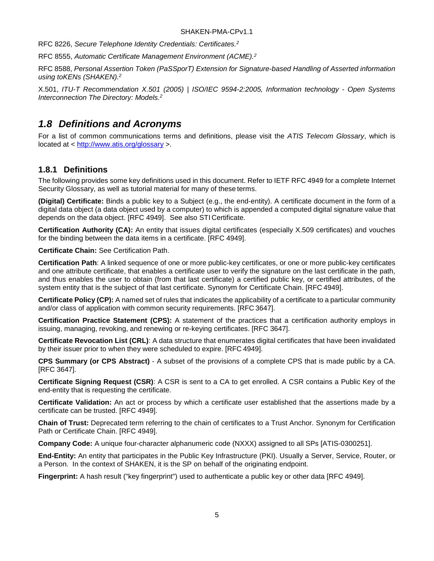RFC 8226, *Secure Telephone Identity Credentials: Certificates[.2](#page-9-4)*

RFC 8555, *Automatic Certificate Management Environment (ACME)[.2](#page-9-4)*

RFC 8588, *Personal Assertion Token (PaSSporT) Extension for Signature-based Handling of Asserted information using toKENs (SHAKEN)[.2](#page-9-4)*

X.501, *ITU-T Recommendation X.501 (2005) | ISO/IEC 9594-2:2005, Information technology - Open Systems Interconnection The Directory: Models[.2](#page-9-4)*

### <span id="page-10-0"></span>*1.8 Definitions and Acronyms*

For a list of common communications terms and definitions, please visit the *ATIS Telecom Glossary*, which is located at <<http://www.atis.org/glossary> >.

#### <span id="page-10-1"></span>**1.8.1 Definitions**

The following provides some key definitions used in this document. Refer to IETF RFC 4949 for a complete Internet Security Glossary, as well as tutorial material for many of these terms.

**(Digital) Certificate:** Binds a public key to a Subject (e.g., the end-entity). A certificate document in the form of a digital data object (a data object used by a computer) to which is appended a computed digital signature value that depends on the data object. [RFC 4949]. See also STI Certificate.

**Certification Authority (CA):** An entity that issues digital certificates (especially X.509 certificates) and vouches for the binding between the data items in a certificate. [RFC 4949].

**Certificate Chain:** See Certification Path.

**Certification Path**: A linked sequence of one or more public-key certificates, or one or more public-key certificates and one attribute certificate, that enables a certificate user to verify the signature on the last certificate in the path, and thus enables the user to obtain (from that last certificate) a certified public key, or certified attributes, of the system entity that is the subject of that last certificate. Synonym for Certificate Chain. [RFC 4949].

**Certificate Policy (CP):** A named set of rules that indicates the applicability of a certificate to a particular community and/or class of application with common security requirements. [RFC 3647].

**Certification Practice Statement (CPS):** A statement of the practices that a certification authority employs in issuing, managing, revoking, and renewing or re-keying certificates. [RFC 3647].

**Certificate Revocation List (CRL)**: A data structure that enumerates digital certificates that have been invalidated by their issuer prior to when they were scheduled to expire. [RFC 4949].

**CPS Summary (or CPS Abstract)** - A subset of the provisions of a complete CPS that is made public by a CA. [RFC 3647].

**Certificate Signing Request (CSR)**: A CSR is sent to a CA to get enrolled. A CSR contains a Public Key of the end-entity that is requesting the certificate.

**Certificate Validation:** An act or process by which a certificate user established that the assertions made by a certificate can be trusted. [RFC 4949].

**Chain of Trust:** Deprecated term referring to the chain of certificates to a Trust Anchor. Synonym for Certification Path or Certificate Chain. [RFC 4949].

**Company Code:** A unique four-character alphanumeric code (NXXX) assigned to all SPs [ATIS-0300251].

**End-Entity:** An entity that participates in the Public Key Infrastructure (PKI). Usually a Server, Service, Router, or a Person. In the context of SHAKEN, it is the SP on behalf of the originating endpoint.

**Fingerprint:** A hash result ("key fingerprint") used to authenticate a public key or other data [RFC 4949].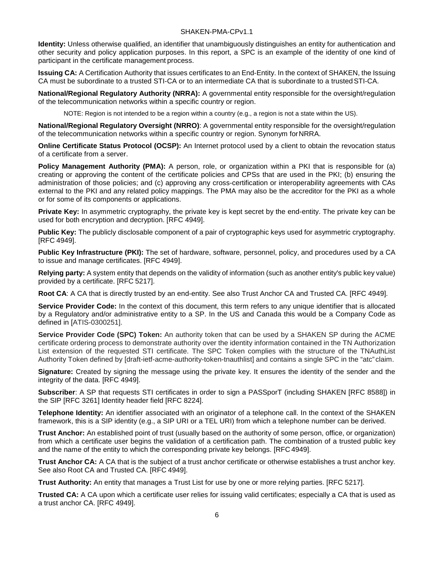**Identity:** Unless otherwise qualified, an identifier that unambiguously distinguishes an entity for authentication and other security and policy application purposes. In this report, a SPC is an example of the identity of one kind of participant in the certificate management process.

**Issuing CA:** A Certification Authority that issues certificates to an End-Entity. In the context of SHAKEN, the Issuing CA must be subordinate to a trusted STI-CA or to an intermediate CA that is subordinate to a trustedSTI-CA.

**National/Regional Regulatory Authority (NRRA):** A governmental entity responsible for the oversight/regulation of the telecommunication networks within a specific country or region.

NOTE: Region is not intended to be a region within a country (e.g., a region is not a state within the US).

**National/Regional Regulatory Oversight (NRRO)**: A governmental entity responsible for the oversight/regulation of the telecommunication networks within a specific country or region. Synonym forNRRA.

**Online Certificate Status Protocol (OCSP):** An Internet protocol used by a client to obtain the revocation status of a certificate from a server.

**Policy Management Authority (PMA):** A person, role, or organization within a PKI that is responsible for (a) creating or approving the content of the certificate policies and CPSs that are used in the PKI; (b) ensuring the administration of those policies; and (c) approving any cross-certification or interoperability agreements with CAs external to the PKI and any related policy mappings. The PMA may also be the accreditor for the PKI as a whole or for some of its components or applications.

**Private Key:** In asymmetric cryptography, the private key is kept secret by the end-entity. The private key can be used for both encryption and decryption. [RFC 4949].

**Public Key:** The publicly disclosable component of a pair of cryptographic keys used for asymmetric cryptography. [RFC 4949].

**Public Key Infrastructure (PKI):** The set of hardware, software, personnel, policy, and procedures used by a CA to issue and manage certificates. [RFC 4949].

**Relying party:** A system entity that depends on the validity of information (such as another entity's public key value) provided by a certificate. [RFC 5217].

**Root CA**: A CA that is directly trusted by an end-entity. See also Trust Anchor CA and Trusted CA. [RFC 4949].

**Service Provider Code:** In the context of this document, this term refers to any unique identifier that is allocated by a Regulatory and/or administrative entity to a SP. In the US and Canada this would be a Company Code as defined in [ATIS-0300251].

**Service Provider Code (SPC) Token:** An authority token that can be used by a SHAKEN SP during the ACME certificate ordering process to demonstrate authority over the identity information contained in the TN Authorization List extension of the requested STI certificate. The SPC Token complies with the structure of the TNAuthList Authority Token defined by [draft-ietf-acme-authority-token-tnauthlist] and contains a single SPC in the "atc" claim.

**Signature:** Created by signing the message using the private key. It ensures the identity of the sender and the integrity of the data. [RFC 4949].

**Subscriber**: A SP that requests STI certificates in order to sign a PASSporT (including SHAKEN [RFC 8588]) in the SIP [RFC 3261] Identity header field [RFC 8224].

**Telephone Identity:** An identifier associated with an originator of a telephone call. In the context of the SHAKEN framework, this is a SIP identity (e.g., a SIP URI or a TEL URI) from which a telephone number can be derived.

**Trust Anchor:** An established point of trust (usually based on the authority of some person, office, or organization) from which a certificate user begins the validation of a certification path. The combination of a trusted public key and the name of the entity to which the corresponding private key belongs. [RFC 4949].

**Trust Anchor CA:** A CA that is the subject of a trust anchor certificate or otherwise establishes a trust anchor key. See also Root CA and Trusted CA. [RFC 4949].

**Trust Authority:** An entity that manages a Trust List for use by one or more relying parties. [RFC 5217].

**Trusted CA:** A CA upon which a certificate user relies for issuing valid certificates; especially a CA that is used as a trust anchor CA. [RFC 4949].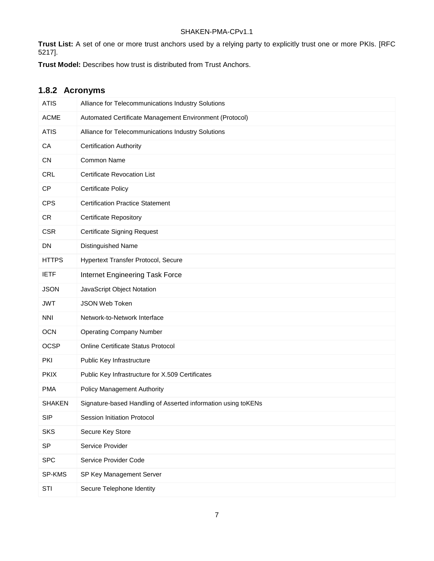**Trust List:** A set of one or more trust anchors used by a relying party to explicitly trust one or more PKIs. [RFC 5217].

**Trust Model:** Describes how trust is distributed from Trust Anchors.

### <span id="page-12-0"></span>**1.8.2 Acronyms**

| <b>ATIS</b>   | Alliance for Telecommunications Industry Solutions            |
|---------------|---------------------------------------------------------------|
| <b>ACME</b>   | Automated Certificate Management Environment (Protocol)       |
| <b>ATIS</b>   | Alliance for Telecommunications Industry Solutions            |
| CA            | <b>Certification Authority</b>                                |
| <b>CN</b>     | Common Name                                                   |
| <b>CRL</b>    | <b>Certificate Revocation List</b>                            |
| <b>CP</b>     | <b>Certificate Policy</b>                                     |
| <b>CPS</b>    | <b>Certification Practice Statement</b>                       |
| <b>CR</b>     | <b>Certificate Repository</b>                                 |
| <b>CSR</b>    | <b>Certificate Signing Request</b>                            |
| <b>DN</b>     | Distinguished Name                                            |
| <b>HTTPS</b>  | Hypertext Transfer Protocol, Secure                           |
| <b>IETF</b>   | Internet Engineering Task Force                               |
| <b>JSON</b>   | JavaScript Object Notation                                    |
| <b>JWT</b>    | JSON Web Token                                                |
| <b>NNI</b>    | Network-to-Network Interface                                  |
| <b>OCN</b>    | <b>Operating Company Number</b>                               |
| <b>OCSP</b>   | Online Certificate Status Protocol                            |
| PKI           | Public Key Infrastructure                                     |
| <b>PKIX</b>   | Public Key Infrastructure for X.509 Certificates              |
| <b>PMA</b>    | Policy Management Authority                                   |
| <b>SHAKEN</b> | Signature-based Handling of Asserted information using toKENs |
| SIP           | Session Initiation Protocol                                   |
| <b>SKS</b>    | Secure Key Store                                              |
| SP            | Service Provider                                              |
| <b>SPC</b>    | Service Provider Code                                         |
| SP-KMS        | SP Key Management Server                                      |
| <b>STI</b>    | Secure Telephone Identity                                     |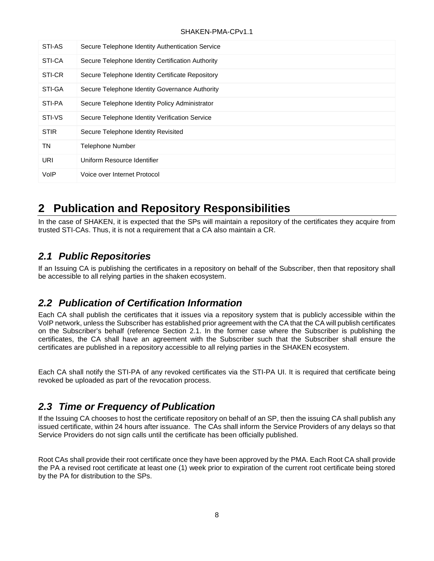| STI-AS      | Secure Telephone Identity Authentication Service  |
|-------------|---------------------------------------------------|
| STI-CA      | Secure Telephone Identity Certification Authority |
| STI-CR      | Secure Telephone Identity Certificate Repository  |
| STI-GA      | Secure Telephone Identity Governance Authority    |
| STI-PA      | Secure Telephone Identity Policy Administrator    |
| STI-VS      | Secure Telephone Identity Verification Service    |
| <b>STIR</b> | Secure Telephone Identity Revisited               |
| TN          | <b>Telephone Number</b>                           |
| <b>URI</b>  | Uniform Resource Identifier                       |
| VoIP        | Voice over Internet Protocol                      |

# <span id="page-13-0"></span>**2 Publication and Repository Responsibilities**

In the case of SHAKEN, it is expected that the SPs will maintain a repository of the certificates they acquire from trusted STI-CAs. Thus, it is not a requirement that a CA also maintain a CR.

## <span id="page-13-1"></span>*2.1 Public Repositories*

If an Issuing CA is publishing the certificates in a repository on behalf of the Subscriber, then that repository shall be accessible to all relying parties in the shaken ecosystem.

## <span id="page-13-2"></span>*2.2 Publication of Certification Information*

Each CA shall publish the certificates that it issues via a repository system that is publicly accessible within the VoIP network, unless the Subscriber has established prior agreement with the CA that the CA will publish certificates on the Subscriber's behalf (reference Section 2.1. In the former case where the Subscriber is publishing the certificates, the CA shall have an agreement with the Subscriber such that the Subscriber shall ensure the certificates are published in a repository accessible to all relying parties in the SHAKEN ecosystem.

Each CA shall notify the STI-PA of any revoked certificates via the STI-PA UI. It is required that certificate being revoked be uploaded as part of the revocation process.

## <span id="page-13-3"></span>*2.3 Time or Frequency of Publication*

If the Issuing CA chooses to host the certificate repository on behalf of an SP, then the issuing CA shall publish any issued certificate, within 24 hours after issuance. The CAs shall inform the Service Providers of any delays so that Service Providers do not sign calls until the certificate has been officially published.

Root CAs shall provide their root certificate once they have been approved by the PMA. Each Root CA shall provide the PA a revised root certificate at least one (1) week prior to expiration of the current root certificate being stored by the PA for distribution to the SPs.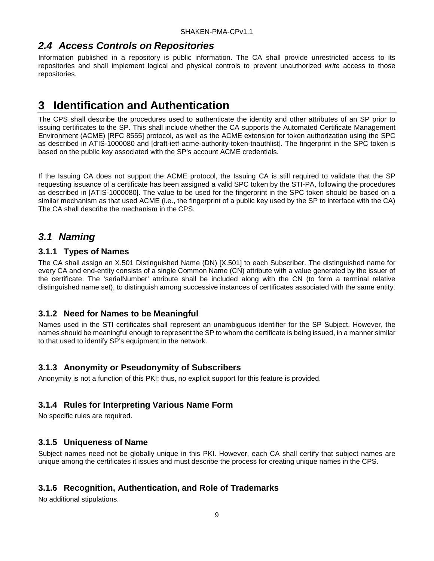## <span id="page-14-0"></span>*2.4 Access Controls on Repositories*

Information published in a repository is public information. The CA shall provide unrestricted access to its repositories and shall implement logical and physical controls to prevent unauthorized *write* access to those repositories.

# <span id="page-14-1"></span>**3 Identification and Authentication**

The CPS shall describe the procedures used to authenticate the identity and other attributes of an SP prior to issuing certificates to the SP. This shall include whether the CA supports the Automated Certificate Management Environment (ACME) [RFC 8555] protocol, as well as the ACME extension for token authorization using the SPC as described in ATIS-1000080 and [draft-ietf-acme-authority-token-tnauthlist]. The fingerprint in the SPC token is based on the public key associated with the SP's account ACME credentials.

If the Issuing CA does not support the ACME protocol, the Issuing CA is still required to validate that the SP requesting issuance of a certificate has been assigned a valid SPC token by the STI-PA, following the procedures as described in [ATIS-1000080]. The value to be used for the fingerprint in the SPC token should be based on a similar mechanism as that used ACME (i.e., the fingerprint of a public key used by the SP to interface with the CA) The CA shall describe the mechanism in the CPS.

### <span id="page-14-2"></span>*3.1 Naming*

#### <span id="page-14-3"></span>**3.1.1 Types of Names**

The CA shall assign an X.501 Distinguished Name (DN) [X.501] to each Subscriber. The distinguished name for every CA and end-entity consists of a single Common Name (CN) attribute with a value generated by the issuer of the certificate. The 'serialNumber' attribute shall be included along with the CN (to form a terminal relative distinguished name set), to distinguish among successive instances of certificates associated with the same entity.

#### <span id="page-14-4"></span>**3.1.2 Need for Names to be Meaningful**

Names used in the STI certificates shall represent an unambiguous identifier for the SP Subject. However, the names should be meaningful enough to represent the SP to whom the certificate is being issued, in a manner similar to that used to identify SP's equipment in the network.

#### <span id="page-14-5"></span>**3.1.3 Anonymity or Pseudonymity of Subscribers**

Anonymity is not a function of this PKI; thus, no explicit support for this feature is provided.

#### <span id="page-14-6"></span>**3.1.4 Rules for Interpreting Various Name Form**

No specific rules are required.

#### <span id="page-14-7"></span>**3.1.5 Uniqueness of Name**

Subject names need not be globally unique in this PKI. However, each CA shall certify that subject names are unique among the certificates it issues and must describe the process for creating unique names in the CPS.

#### <span id="page-14-8"></span>**3.1.6 Recognition, Authentication, and Role of Trademarks**

No additional stipulations.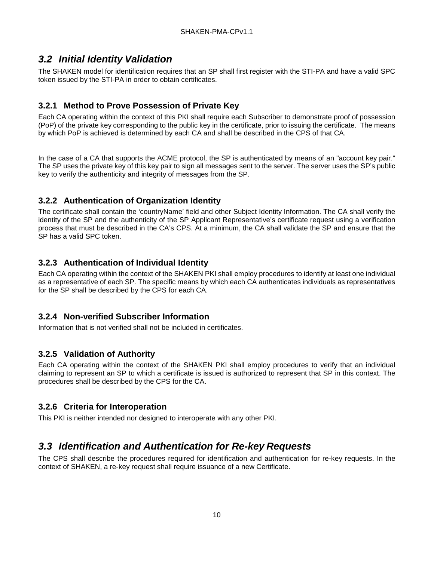## <span id="page-15-0"></span>*3.2 Initial Identity Validation*

The SHAKEN model for identification requires that an SP shall first register with the STI-PA and have a valid SPC token issued by the STI-PA in order to obtain certificates.

### <span id="page-15-1"></span>**3.2.1 Method to Prove Possession of Private Key**

Each CA operating within the context of this PKI shall require each Subscriber to demonstrate proof of possession (PoP) of the private key corresponding to the public key in the certificate, prior to issuing the certificate. The means by which PoP is achieved is determined by each CA and shall be described in the CPS of that CA.

In the case of a CA that supports the ACME protocol, the SP is authenticated by means of an "account key pair." The SP uses the private key of this key pair to sign all messages sent to the server. The server uses the SP's public key to verify the authenticity and integrity of messages from the SP.

#### <span id="page-15-2"></span>**3.2.2 Authentication of Organization Identity**

The certificate shall contain the 'countryName' field and other Subject Identity Information. The CA shall verify the identity of the SP and the authenticity of the SP Applicant Representative's certificate request using a verification process that must be described in the CA's CPS. At a minimum, the CA shall validate the SP and ensure that the SP has a valid SPC token.

### <span id="page-15-3"></span>**3.2.3 Authentication of Individual Identity**

Each CA operating within the context of the SHAKEN PKI shall employ procedures to identify at least one individual as a representative of each SP. The specific means by which each CA authenticates individuals as representatives for the SP shall be described by the CPS for each CA.

#### <span id="page-15-4"></span>**3.2.4 Non-verified Subscriber Information**

Information that is not verified shall not be included in certificates.

#### <span id="page-15-5"></span>**3.2.5 Validation of Authority**

Each CA operating within the context of the SHAKEN PKI shall employ procedures to verify that an individual claiming to represent an SP to which a certificate is issued is authorized to represent that SP in this context. The procedures shall be described by the CPS for the CA.

#### <span id="page-15-6"></span>**3.2.6 Criteria for Interoperation**

This PKI is neither intended nor designed to interoperate with any other PKI.

### <span id="page-15-7"></span>*3.3 Identification and Authentication for Re-key Requests*

The CPS shall describe the procedures required for identification and authentication for re-key requests. In the context of SHAKEN, a re-key request shall require issuance of a new Certificate.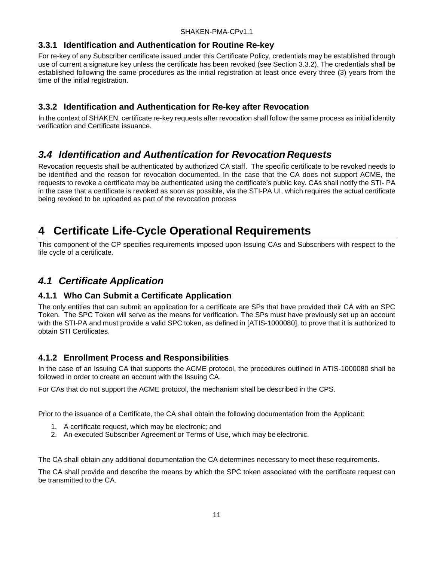#### <span id="page-16-0"></span>**3.3.1 Identification and Authentication for Routine Re-key**

For re-key of any Subscriber certificate issued under this Certificate Policy, credentials may be established through use of current a signature key unless the certificate has been revoked (see Section 3.3.2). The credentials shall be established following the same procedures as the initial registration at least once every three (3) years from the time of the initial registration.

#### <span id="page-16-1"></span>**3.3.2 Identification and Authentication for Re-key after Revocation**

In the context of SHAKEN, certificate re-key requests after revocation shall follow the same process as initial identity verification and Certificate issuance.

### <span id="page-16-2"></span>*3.4 Identification and Authentication for Revocation Requests*

Revocation requests shall be authenticated by authorized CA staff. The specific certificate to be revoked needs to be identified and the reason for revocation documented. In the case that the CA does not support ACME, the requests to revoke a certificate may be authenticated using the certificate's public key. CAs shall notify the STI- PA in the case that a certificate is revoked as soon as possible, via the STI-PA UI, which requires the actual certificate being revoked to be uploaded as part of the revocation process

# <span id="page-16-3"></span>**4 Certificate Life-Cycle Operational Requirements**

This component of the CP specifies requirements imposed upon Issuing CAs and Subscribers with respect to the life cycle of a certificate.

### <span id="page-16-4"></span>*4.1 Certificate Application*

#### <span id="page-16-5"></span>**4.1.1 Who Can Submit a Certificate Application**

The only entities that can submit an application for a certificate are SPs that have provided their CA with an SPC Token. The SPC Token will serve as the means for verification. The SPs must have previously set up an account with the STI-PA and must provide a valid SPC token, as defined in [ATIS-1000080], to prove that it is authorized to obtain STI Certificates.

#### <span id="page-16-6"></span>**4.1.2 Enrollment Process and Responsibilities**

In the case of an Issuing CA that supports the ACME protocol, the procedures outlined in ATIS-1000080 shall be followed in order to create an account with the Issuing CA.

For CAs that do not support the ACME protocol, the mechanism shall be described in the CPS.

Prior to the issuance of a Certificate, the CA shall obtain the following documentation from the Applicant:

- 1. A certificate request, which may be electronic; and
- 2. An executed Subscriber Agreement or Terms of Use, which may be electronic.

The CA shall obtain any additional documentation the CA determines necessary to meet these requirements.

The CA shall provide and describe the means by which the SPC token associated with the certificate request can be transmitted to the CA.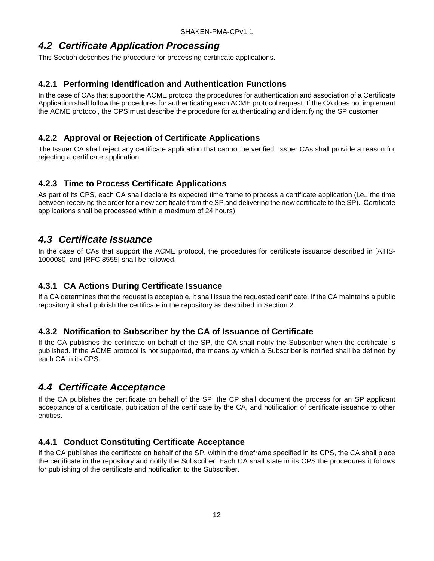### <span id="page-17-0"></span>*4.2 Certificate Application Processing*

This Section describes the procedure for processing certificate applications.

#### <span id="page-17-1"></span>**4.2.1 Performing Identification and Authentication Functions**

In the case of CAs that support the ACME protocol the procedures for authentication and association of a Certificate Application shall follow the procedures for authenticating each ACME protocol request. If the CA does not implement the ACME protocol, the CPS must describe the procedure for authenticating and identifying the SP customer.

#### <span id="page-17-2"></span>**4.2.2 Approval or Rejection of Certificate Applications**

The Issuer CA shall reject any certificate application that cannot be verified. Issuer CAs shall provide a reason for rejecting a certificate application.

#### <span id="page-17-3"></span>**4.2.3 Time to Process Certificate Applications**

As part of its CPS, each CA shall declare its expected time frame to process a certificate application (i.e., the time between receiving the order for a new certificate from the SP and delivering the new certificate to the SP). Certificate applications shall be processed within a maximum of 24 hours).

### <span id="page-17-4"></span>*4.3 Certificate Issuance*

In the case of CAs that support the ACME protocol, the procedures for certificate issuance described in [ATIS-1000080] and [RFC 8555] shall be followed.

#### <span id="page-17-5"></span>**4.3.1 CA Actions During Certificate Issuance**

If a CA determines that the request is acceptable, it shall issue the requested certificate. If the CA maintains a public repository it shall publish the certificate in the repository as described in Section 2.

#### <span id="page-17-6"></span>**4.3.2 Notification to Subscriber by the CA of Issuance of Certificate**

If the CA publishes the certificate on behalf of the SP, the CA shall notify the Subscriber when the certificate is published. If the ACME protocol is not supported, the means by which a Subscriber is notified shall be defined by each CA in its CPS.

### <span id="page-17-7"></span>*4.4 Certificate Acceptance*

If the CA publishes the certificate on behalf of the SP, the CP shall document the process for an SP applicant acceptance of a certificate, publication of the certificate by the CA, and notification of certificate issuance to other entities.

#### <span id="page-17-8"></span>**4.4.1 Conduct Constituting Certificate Acceptance**

If the CA publishes the certificate on behalf of the SP, within the timeframe specified in its CPS, the CA shall place the certificate in the repository and notify the Subscriber. Each CA shall state in its CPS the procedures it follows for publishing of the certificate and notification to the Subscriber.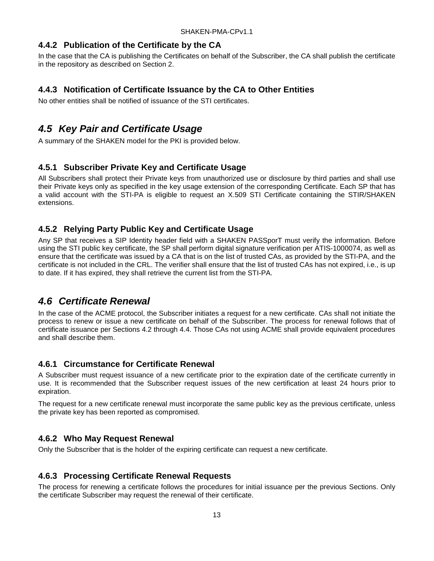#### <span id="page-18-0"></span>**4.4.2 Publication of the Certificate by the CA**

In the case that the CA is publishing the Certificates on behalf of the Subscriber, the CA shall publish the certificate in the repository as described on Section 2.

#### <span id="page-18-1"></span>**4.4.3 Notification of Certificate Issuance by the CA to Other Entities**

No other entities shall be notified of issuance of the STI certificates.

### <span id="page-18-2"></span>*4.5 Key Pair and Certificate Usage*

A summary of the SHAKEN model for the PKI is provided below.

#### <span id="page-18-3"></span>**4.5.1 Subscriber Private Key and Certificate Usage**

All Subscribers shall protect their Private keys from unauthorized use or disclosure by third parties and shall use their Private keys only as specified in the key usage extension of the corresponding Certificate. Each SP that has a valid account with the STI-PA is eligible to request an X.509 STI Certificate containing the STIR/SHAKEN extensions.

#### <span id="page-18-4"></span>**4.5.2 Relying Party Public Key and Certificate Usage**

Any SP that receives a SIP Identity header field with a SHAKEN PASSporT must verify the information. Before using the STI public key certificate, the SP shall perform digital signature verification per ATIS-1000074, as well as ensure that the certificate was issued by a CA that is on the list of trusted CAs, as provided by the STI-PA, and the certificate is not included in the CRL. The verifier shall ensure that the list of trusted CAs has not expired, i.e., is up to date. If it has expired, they shall retrieve the current list from the STI-PA.

## <span id="page-18-5"></span>*4.6 Certificate Renewal*

In the case of the ACME protocol, the Subscriber initiates a request for a new certificate. CAs shall not initiate the process to renew or issue a new certificate on behalf of the Subscriber. The process for renewal follows that of certificate issuance per Sections 4.2 through 4.4. Those CAs not using ACME shall provide equivalent procedures and shall describe them.

#### <span id="page-18-6"></span>**4.6.1 Circumstance for Certificate Renewal**

A Subscriber must request issuance of a new certificate prior to the expiration date of the certificate currently in use. It is recommended that the Subscriber request issues of the new certification at least 24 hours prior to expiration.

The request for a new certificate renewal must incorporate the same public key as the previous certificate, unless the private key has been reported as compromised.

#### <span id="page-18-7"></span>**4.6.2 Who May Request Renewal**

Only the Subscriber that is the holder of the expiring certificate can request a new certificate.

#### <span id="page-18-8"></span>**4.6.3 Processing Certificate Renewal Requests**

The process for renewing a certificate follows the procedures for initial issuance per the previous Sections. Only the certificate Subscriber may request the renewal of their certificate.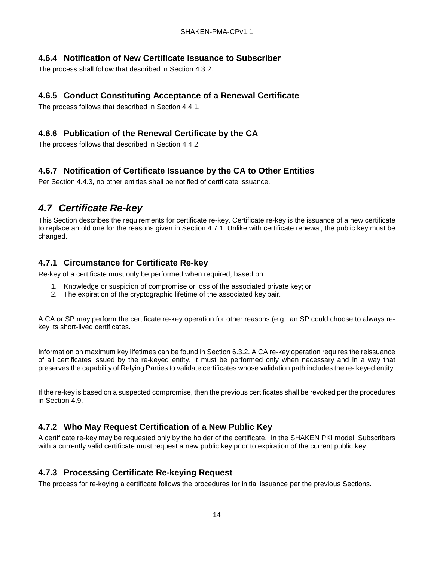#### <span id="page-19-0"></span>**4.6.4 Notification of New Certificate Issuance to Subscriber**

The process shall follow that described in Section 4.3.2.

#### <span id="page-19-1"></span>**4.6.5 Conduct Constituting Acceptance of a Renewal Certificate**

The process follows that described in Section 4.4.1.

#### <span id="page-19-2"></span>**4.6.6 Publication of the Renewal Certificate by the CA**

The process follows that described in Section 4.4.2.

#### <span id="page-19-3"></span>**4.6.7 Notification of Certificate Issuance by the CA to Other Entities**

Per Section 4.4.3, no other entities shall be notified of certificate issuance.

## <span id="page-19-4"></span>*4.7 Certificate Re-key*

This Section describes the requirements for certificate re-key. Certificate re-key is the issuance of a new certificate to replace an old one for the reasons given in Section 4.7.1. Unlike with certificate renewal, the public key must be changed.

#### <span id="page-19-5"></span>**4.7.1 Circumstance for Certificate Re-key**

Re-key of a certificate must only be performed when required, based on:

- 1. Knowledge or suspicion of compromise or loss of the associated private key; or
- 2. The expiration of the cryptographic lifetime of the associated key pair.

A CA or SP may perform the certificate re-key operation for other reasons (e.g., an SP could choose to always rekey its short-lived certificates.

Information on maximum key lifetimes can be found in Section 6.3.2. A CA re-key operation requires the reissuance of all certificates issued by the re-keyed entity. It must be performed only when necessary and in a way that preserves the capability of Relying Parties to validate certificates whose validation path includes the re- keyed entity.

If the re-key is based on a suspected compromise, then the previous certificates shall be revoked per the procedures in Section 4.9.

#### <span id="page-19-6"></span>**4.7.2 Who May Request Certification of a New Public Key**

A certificate re-key may be requested only by the holder of the certificate. In the SHAKEN PKI model, Subscribers with a currently valid certificate must request a new public key prior to expiration of the current public key.

#### <span id="page-19-7"></span>**4.7.3 Processing Certificate Re-keying Request**

The process for re-keying a certificate follows the procedures for initial issuance per the previous Sections.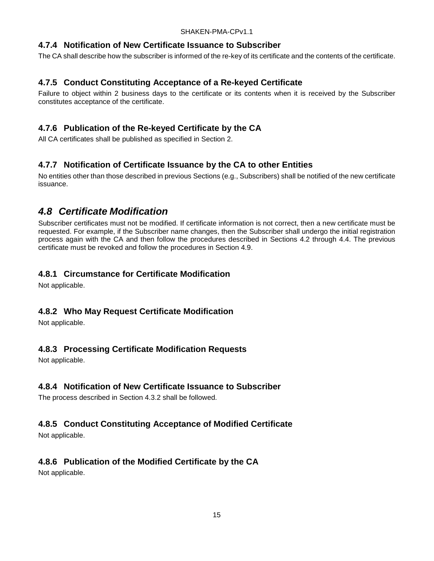#### <span id="page-20-0"></span>**4.7.4 Notification of New Certificate Issuance to Subscriber**

The CA shall describe how the subscriber is informed of the re-key of its certificate and the contents of the certificate.

#### <span id="page-20-1"></span>**4.7.5 Conduct Constituting Acceptance of a Re-keyed Certificate**

Failure to object within 2 business days to the certificate or its contents when it is received by the Subscriber constitutes acceptance of the certificate.

### <span id="page-20-2"></span>**4.7.6 Publication of the Re-keyed Certificate by the CA**

All CA certificates shall be published as specified in Section 2.

#### <span id="page-20-3"></span>**4.7.7 Notification of Certificate Issuance by the CA to other Entities**

No entities other than those described in previous Sections (e.g., Subscribers) shall be notified of the new certificate issuance.

### <span id="page-20-4"></span>*4.8 Certificate Modification*

Subscriber certificates must not be modified. If certificate information is not correct, then a new certificate must be requested. For example, if the Subscriber name changes, then the Subscriber shall undergo the initial registration process again with the CA and then follow the procedures described in Sections 4.2 through 4.4. The previous certificate must be revoked and follow the procedures in Section 4.9.

#### <span id="page-20-5"></span>**4.8.1 Circumstance for Certificate Modification**

Not applicable.

#### <span id="page-20-6"></span>**4.8.2 Who May Request Certificate Modification**

Not applicable.

#### <span id="page-20-7"></span>**4.8.3 Processing Certificate Modification Requests**

Not applicable.

#### <span id="page-20-8"></span>**4.8.4 Notification of New Certificate Issuance to Subscriber**

The process described in Section 4.3.2 shall be followed.

#### <span id="page-20-9"></span>**4.8.5 Conduct Constituting Acceptance of Modified Certificate**

Not applicable.

#### <span id="page-20-10"></span>**4.8.6 Publication of the Modified Certificate by the CA**

Not applicable.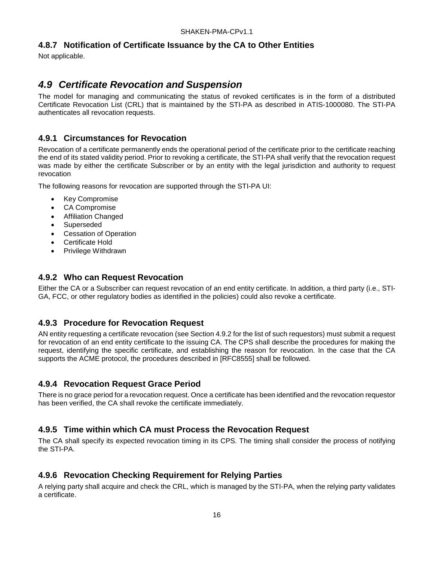#### <span id="page-21-0"></span>**4.8.7 Notification of Certificate Issuance by the CA to Other Entities**

Not applicable.

## <span id="page-21-1"></span>*4.9 Certificate Revocation and Suspension*

The model for managing and communicating the status of revoked certificates is in the form of a distributed Certificate Revocation List (CRL) that is maintained by the STI-PA as described in ATIS-1000080. The STI-PA authenticates all revocation requests.

#### <span id="page-21-2"></span>**4.9.1 Circumstances for Revocation**

Revocation of a certificate permanently ends the operational period of the certificate prior to the certificate reaching the end of its stated validity period. Prior to revoking a certificate, the STI-PA shall verify that the revocation request was made by either the certificate Subscriber or by an entity with the legal jurisdiction and authority to request revocation

The following reasons for revocation are supported through the STI-PA UI:

- Key Compromise
- CA Compromise
- Affiliation Changed
- **Superseded**
- **Cessation of Operation**
- Certificate Hold
- Privilege Withdrawn

#### <span id="page-21-3"></span>**4.9.2 Who can Request Revocation**

Either the CA or a Subscriber can request revocation of an end entity certificate. In addition, a third party (i.e., STI-GA, FCC, or other regulatory bodies as identified in the policies) could also revoke a certificate.

#### <span id="page-21-4"></span>**4.9.3 Procedure for Revocation Request**

AN entity requesting a certificate revocation (see Section 4.9.2 for the list of such requestors) must submit a request for revocation of an end entity certificate to the issuing CA. The CPS shall describe the procedures for making the request, identifying the specific certificate, and establishing the reason for revocation. In the case that the CA supports the ACME protocol, the procedures described in [RFC8555] shall be followed.

#### <span id="page-21-5"></span>**4.9.4 Revocation Request Grace Period**

There is no grace period for a revocation request. Once a certificate has been identified and the revocation requestor has been verified, the CA shall revoke the certificate immediately.

#### <span id="page-21-6"></span>**4.9.5 Time within which CA must Process the Revocation Request**

The CA shall specify its expected revocation timing in its CPS. The timing shall consider the process of notifying the STI-PA.

#### <span id="page-21-7"></span>**4.9.6 Revocation Checking Requirement for Relying Parties**

A relying party shall acquire and check the CRL, which is managed by the STI-PA, when the relying party validates a certificate.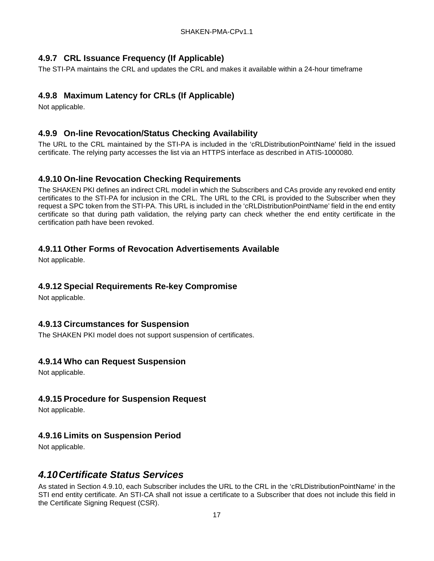### <span id="page-22-0"></span>**4.9.7 CRL Issuance Frequency (If Applicable)**

The STI-PA maintains the CRL and updates the CRL and makes it available within a 24-hour timeframe

### <span id="page-22-1"></span>**4.9.8 Maximum Latency for CRLs (If Applicable)**

Not applicable.

### <span id="page-22-2"></span>**4.9.9 On-line Revocation/Status Checking Availability**

The URL to the CRL maintained by the STI-PA is included in the 'cRLDistributionPointName' field in the issued certificate. The relying party accesses the list via an HTTPS interface as described in ATIS-1000080.

#### <span id="page-22-3"></span>**4.9.10 On-line Revocation Checking Requirements**

The SHAKEN PKI defines an indirect CRL model in which the Subscribers and CAs provide any revoked end entity certificates to the STI-PA for inclusion in the CRL. The URL to the CRL is provided to the Subscriber when they request a SPC token from the STI-PA. This URL is included in the 'cRLDistributionPointName' field in the end entity certificate so that during path validation, the relying party can check whether the end entity certificate in the certification path have been revoked.

#### <span id="page-22-4"></span>**4.9.11 Other Forms of Revocation Advertisements Available**

Not applicable.

#### <span id="page-22-5"></span>**4.9.12 Special Requirements Re-key Compromise**

Not applicable.

#### <span id="page-22-6"></span>**4.9.13 Circumstances for Suspension**

The SHAKEN PKI model does not support suspension of certificates.

#### <span id="page-22-7"></span>**4.9.14 Who can Request Suspension**

Not applicable.

#### <span id="page-22-8"></span>**4.9.15 Procedure for Suspension Request**

Not applicable.

#### <span id="page-22-9"></span>**4.9.16 Limits on Suspension Period**

Not applicable.

### <span id="page-22-10"></span>*4.10Certificate Status Services*

As stated in Section 4.9.10, each Subscriber includes the URL to the CRL in the 'cRLDistributionPointName' in the STI end entity certificate. An STI-CA shall not issue a certificate to a Subscriber that does not include this field in the Certificate Signing Request (CSR).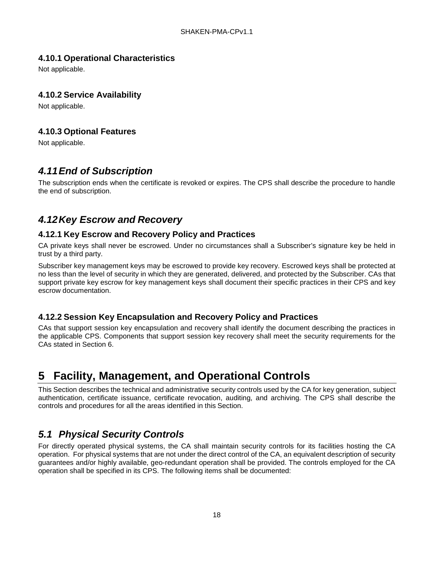### <span id="page-23-0"></span>**4.10.1 Operational Characteristics**

Not applicable.

#### <span id="page-23-1"></span>**4.10.2 Service Availability**

Not applicable.

#### <span id="page-23-2"></span>**4.10.3 Optional Features**

Not applicable.

## <span id="page-23-3"></span>*4.11End of Subscription*

The subscription ends when the certificate is revoked or expires. The CPS shall describe the procedure to handle the end of subscription.

## <span id="page-23-4"></span>*4.12Key Escrow and Recovery*

#### <span id="page-23-5"></span>**4.12.1 Key Escrow and Recovery Policy and Practices**

CA private keys shall never be escrowed. Under no circumstances shall a Subscriber's signature key be held in trust by a third party.

Subscriber key management keys may be escrowed to provide key recovery. Escrowed keys shall be protected at no less than the level of security in which they are generated, delivered, and protected by the Subscriber. CAs that support private key escrow for key management keys shall document their specific practices in their CPS and key escrow documentation.

#### <span id="page-23-6"></span>**4.12.2 Session Key Encapsulation and Recovery Policy and Practices**

CAs that support session key encapsulation and recovery shall identify the document describing the practices in the applicable CPS. Components that support session key recovery shall meet the security requirements for the CAs stated in Section 6.

# <span id="page-23-7"></span>**5 Facility, Management, and Operational Controls**

This Section describes the technical and administrative security controls used by the CA for key generation, subject authentication, certificate issuance, certificate revocation, auditing, and archiving. The CPS shall describe the controls and procedures for all the areas identified in this Section.

## <span id="page-23-8"></span>*5.1 Physical Security Controls*

For directly operated physical systems, the CA shall maintain security controls for its facilities hosting the CA operation. For physical systems that are not under the direct control of the CA, an equivalent description of security guarantees and/or highly available, geo-redundant operation shall be provided. The controls employed for the CA operation shall be specified in its CPS. The following items shall be documented: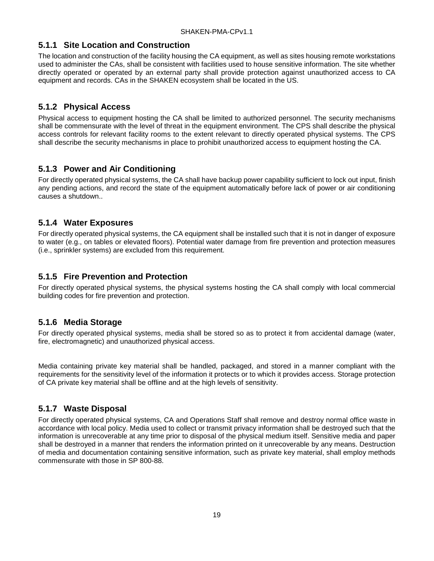#### <span id="page-24-0"></span>**5.1.1 Site Location and Construction**

The location and construction of the facility housing the CA equipment, as well as sites housing remote workstations used to administer the CAs, shall be consistent with facilities used to house sensitive information. The site whether directly operated or operated by an external party shall provide protection against unauthorized access to CA equipment and records. CAs in the SHAKEN ecosystem shall be located in the US.

#### <span id="page-24-1"></span>**5.1.2 Physical Access**

Physical access to equipment hosting the CA shall be limited to authorized personnel. The security mechanisms shall be commensurate with the level of threat in the equipment environment. The CPS shall describe the physical access controls for relevant facility rooms to the extent relevant to directly operated physical systems. The CPS shall describe the security mechanisms in place to prohibit unauthorized access to equipment hosting the CA.

#### <span id="page-24-2"></span>**5.1.3 Power and Air Conditioning**

For directly operated physical systems, the CA shall have backup power capability sufficient to lock out input, finish any pending actions, and record the state of the equipment automatically before lack of power or air conditioning causes a shutdown..

#### <span id="page-24-3"></span>**5.1.4 Water Exposures**

For directly operated physical systems, the CA equipment shall be installed such that it is not in danger of exposure to water (e.g., on tables or elevated floors). Potential water damage from fire prevention and protection measures (i.e., sprinkler systems) are excluded from this requirement.

#### <span id="page-24-4"></span>**5.1.5 Fire Prevention and Protection**

For directly operated physical systems, the physical systems hosting the CA shall comply with local commercial building codes for fire prevention and protection.

#### <span id="page-24-5"></span>**5.1.6 Media Storage**

For directly operated physical systems, media shall be stored so as to protect it from accidental damage (water, fire, electromagnetic) and unauthorized physical access.

Media containing private key material shall be handled, packaged, and stored in a manner compliant with the requirements for the sensitivity level of the information it protects or to which it provides access. Storage protection of CA private key material shall be offline and at the high levels of sensitivity.

#### <span id="page-24-6"></span>**5.1.7 Waste Disposal**

For directly operated physical systems, CA and Operations Staff shall remove and destroy normal office waste in accordance with local policy. Media used to collect or transmit privacy information shall be destroyed such that the information is unrecoverable at any time prior to disposal of the physical medium itself. Sensitive media and paper shall be destroyed in a manner that renders the information printed on it unrecoverable by any means. Destruction of media and documentation containing sensitive information, such as private key material, shall employ methods commensurate with those in SP 800-88.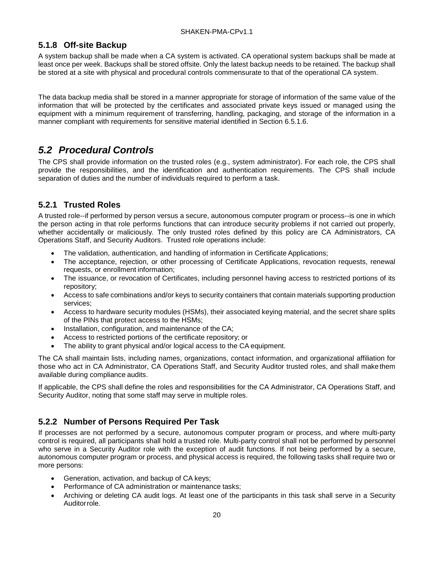#### <span id="page-25-0"></span>**5.1.8 Off-site Backup**

A system backup shall be made when a CA system is activated. CA operational system backups shall be made at least once per week. Backups shall be stored offsite. Only the latest backup needs to be retained. The backup shall be stored at a site with physical and procedural controls commensurate to that of the operational CA system.

The data backup media shall be stored in a manner appropriate for storage of information of the same value of the information that will be protected by the certificates and associated private keys issued or managed using the equipment with a minimum requirement of transferring, handling, packaging, and storage of the information in a manner compliant with requirements for sensitive material identified in Section 6.5.1.6.

## <span id="page-25-1"></span>*5.2 Procedural Controls*

The CPS shall provide information on the trusted roles (e.g., system administrator). For each role, the CPS shall provide the responsibilities, and the identification and authentication requirements. The CPS shall include separation of duties and the number of individuals required to perform a task.

### <span id="page-25-2"></span>**5.2.1 Trusted Roles**

A trusted role--if performed by person versus a secure, autonomous computer program or process--is one in which the person acting in that role performs functions that can introduce security problems if not carried out properly, whether accidentally or maliciously. The only trusted roles defined by this policy are CA Administrators, CA Operations Staff, and Security Auditors. Trusted role operations include:

- The validation, authentication, and handling of information in Certificate Applications;
- The acceptance, rejection, or other processing of Certificate Applications, revocation requests, renewal requests, or enrollment information;
- The issuance, or revocation of Certificates, including personnel having access to restricted portions of its repository;
- Access to safe combinations and/or keys to security containers that contain materials supporting production services;
- Access to hardware security modules (HSMs), their associated keying material, and the secret share splits of the PINs that protect access to the HSMs;
- Installation, configuration, and maintenance of the CA;
- Access to restricted portions of the certificate repository; or
- The ability to grant physical and/or logical access to the CA equipment.

The CA shall maintain lists, including names, organizations, contact information, and organizational affiliation for those who act in CA Administrator, CA Operations Staff, and Security Auditor trusted roles, and shall makethem available during compliance audits.

If applicable, the CPS shall define the roles and responsibilities for the CA Administrator, CA Operations Staff, and Security Auditor, noting that some staff may serve in multiple roles.

#### <span id="page-25-3"></span>**5.2.2 Number of Persons Required Per Task**

If processes are not performed by a secure, autonomous computer program or process, and where multi-party control is required, all participants shall hold a trusted role. Multi-party control shall not be performed by personnel who serve in a Security Auditor role with the exception of audit functions. If not being performed by a secure, autonomous computer program or process, and physical access is required, the following tasks shall require two or more persons:

- Generation, activation, and backup of CA keys;
- Performance of CA administration or maintenance tasks;
- Archiving or deleting CA audit logs. At least one of the participants in this task shall serve in a Security Auditorrole.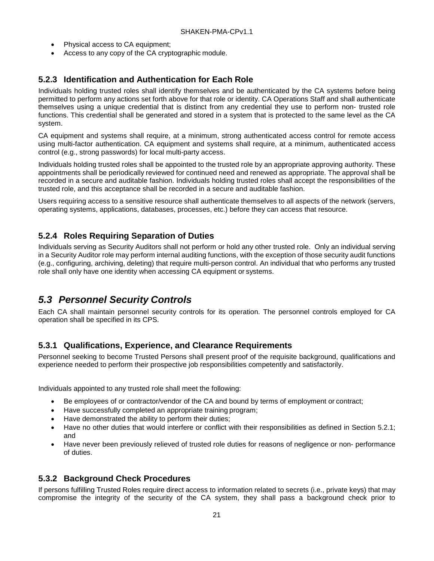- Physical access to CA equipment;
- Access to any copy of the CA cryptographic module.

#### <span id="page-26-0"></span>**5.2.3 Identification and Authentication for Each Role**

Individuals holding trusted roles shall identify themselves and be authenticated by the CA systems before being permitted to perform any actions set forth above for that role or identity. CA Operations Staff and shall authenticate themselves using a unique credential that is distinct from any credential they use to perform non- trusted role functions. This credential shall be generated and stored in a system that is protected to the same level as the CA system.

CA equipment and systems shall require, at a minimum, strong authenticated access control for remote access using multi-factor authentication. CA equipment and systems shall require, at a minimum, authenticated access control (e.g., strong passwords) for local multi-party access.

Individuals holding trusted roles shall be appointed to the trusted role by an appropriate approving authority. These appointments shall be periodically reviewed for continued need and renewed as appropriate. The approval shall be recorded in a secure and auditable fashion. Individuals holding trusted roles shall accept the responsibilities of the trusted role, and this acceptance shall be recorded in a secure and auditable fashion.

Users requiring access to a sensitive resource shall authenticate themselves to all aspects of the network (servers, operating systems, applications, databases, processes, etc.) before they can access that resource.

#### <span id="page-26-1"></span>**5.2.4 Roles Requiring Separation of Duties**

Individuals serving as Security Auditors shall not perform or hold any other trusted role. Only an individual serving in a Security Auditor role may perform internal auditing functions, with the exception of those security audit functions (e.g., configuring, archiving, deleting) that require multi-person control. An individual that who performs any trusted role shall only have one identity when accessing CA equipment or systems.

### <span id="page-26-2"></span>*5.3 Personnel Security Controls*

Each CA shall maintain personnel security controls for its operation. The personnel controls employed for CA operation shall be specified in its CPS.

#### <span id="page-26-3"></span>**5.3.1 Qualifications, Experience, and Clearance Requirements**

Personnel seeking to become Trusted Persons shall present proof of the requisite background, qualifications and experience needed to perform their prospective job responsibilities competently and satisfactorily.

Individuals appointed to any trusted role shall meet the following:

- Be employees of or contractor/vendor of the CA and bound by terms of employment or contract;
- Have successfully completed an appropriate training program;
- Have demonstrated the ability to perform their duties;
- Have no other duties that would interfere or conflict with their responsibilities as defined in Section 5.2.1; and
- Have never been previously relieved of trusted role duties for reasons of negligence or non- performance of duties.

#### <span id="page-26-4"></span>**5.3.2 Background Check Procedures**

If persons fulfilling Trusted Roles require direct access to information related to secrets (i.e., private keys) that may compromise the integrity of the security of the CA system, they shall pass a background check prior to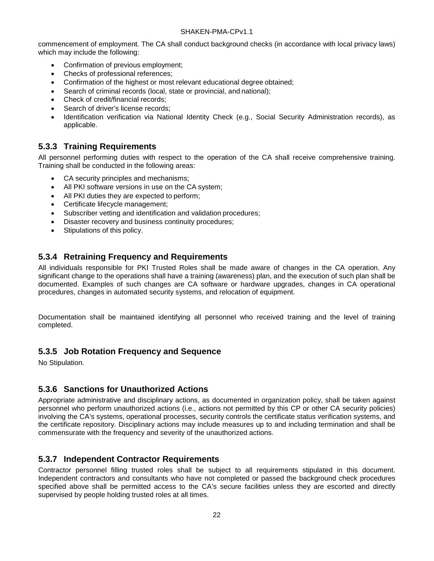commencement of employment. The CA shall conduct background checks (in accordance with local privacy laws) which may include the following:

- Confirmation of previous employment;
- Checks of professional references;
- Confirmation of the highest or most relevant educational degree obtained;
- Search of criminal records (local, state or provincial, and national);
- Check of credit/financial records;
- Search of driver's license records:
- Identification verification via National Identity Check (e.g., Social Security Administration records), as applicable.

#### <span id="page-27-0"></span>**5.3.3 Training Requirements**

All personnel performing duties with respect to the operation of the CA shall receive comprehensive training. Training shall be conducted in the following areas:

- CA security principles and mechanisms;
- All PKI software versions in use on the CA system;
- All PKI duties they are expected to perform;
- Certificate lifecycle management;
- Subscriber vetting and identification and validation procedures;
- Disaster recovery and business continuity procedures;
- Stipulations of this policy.

#### <span id="page-27-1"></span>**5.3.4 Retraining Frequency and Requirements**

All individuals responsible for PKI Trusted Roles shall be made aware of changes in the CA operation. Any significant change to the operations shall have a training (awareness) plan, and the execution of such plan shall be documented. Examples of such changes are CA software or hardware upgrades, changes in CA operational procedures, changes in automated security systems, and relocation of equipment.

Documentation shall be maintained identifying all personnel who received training and the level of training completed.

#### <span id="page-27-2"></span>**5.3.5 Job Rotation Frequency and Sequence**

No Stipulation.

#### <span id="page-27-3"></span>**5.3.6 Sanctions for Unauthorized Actions**

Appropriate administrative and disciplinary actions, as documented in organization policy, shall be taken against personnel who perform unauthorized actions (i.e., actions not permitted by this CP or other CA security policies) involving the CA's systems, operational processes, security controls the certificate status verification systems, and the certificate repository. Disciplinary actions may include measures up to and including termination and shall be commensurate with the frequency and severity of the unauthorized actions.

#### <span id="page-27-4"></span>**5.3.7 Independent Contractor Requirements**

Contractor personnel filling trusted roles shall be subject to all requirements stipulated in this document. Independent contractors and consultants who have not completed or passed the background check procedures specified above shall be permitted access to the CA's secure facilities unless they are escorted and directly supervised by people holding trusted roles at all times.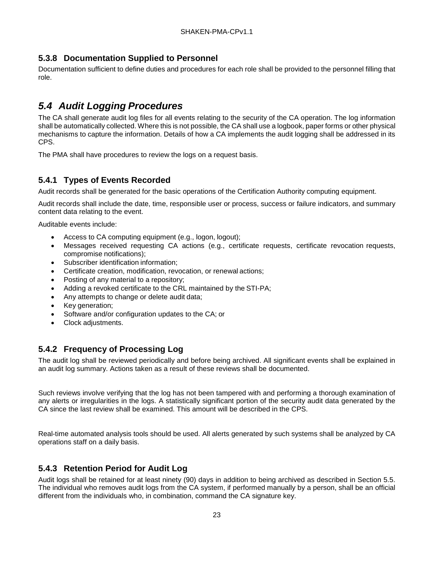### <span id="page-28-0"></span>**5.3.8 Documentation Supplied to Personnel**

Documentation sufficient to define duties and procedures for each role shall be provided to the personnel filling that role.

## <span id="page-28-1"></span>*5.4 Audit Logging Procedures*

The CA shall generate audit log files for all events relating to the security of the CA operation. The log information shall be automatically collected. Where this is not possible, the CA shall use a logbook, paper forms or other physical mechanisms to capture the information. Details of how a CA implements the audit logging shall be addressed in its CPS.

The PMA shall have procedures to review the logs on a request basis.

#### <span id="page-28-2"></span>**5.4.1 Types of Events Recorded**

Audit records shall be generated for the basic operations of the Certification Authority computing equipment.

Audit records shall include the date, time, responsible user or process, success or failure indicators, and summary content data relating to the event.

Auditable events include:

- Access to CA computing equipment (e.g., logon, logout);
- Messages received requesting CA actions (e.g., certificate requests, certificate revocation requests, compromise notifications);
- Subscriber identification information;
- Certificate creation, modification, revocation, or renewal actions;
- Posting of any material to a repository;
- Adding a revoked certificate to the CRL maintained by the STI-PA;
- Any attempts to change or delete audit data;
- Key generation;
- Software and/or configuration updates to the CA; or
- Clock adjustments.

#### <span id="page-28-3"></span>**5.4.2 Frequency of Processing Log**

The audit log shall be reviewed periodically and before being archived. All significant events shall be explained in an audit log summary. Actions taken as a result of these reviews shall be documented.

Such reviews involve verifying that the log has not been tampered with and performing a thorough examination of any alerts or irregularities in the logs. A statistically significant portion of the security audit data generated by the CA since the last review shall be examined. This amount will be described in the CPS.

Real-time automated analysis tools should be used. All alerts generated by such systems shall be analyzed by CA operations staff on a daily basis.

#### <span id="page-28-4"></span>**5.4.3 Retention Period for Audit Log**

Audit logs shall be retained for at least ninety (90) days in addition to being archived as described in Section 5.5. The individual who removes audit logs from the CA system, if performed manually by a person, shall be an official different from the individuals who, in combination, command the CA signature key.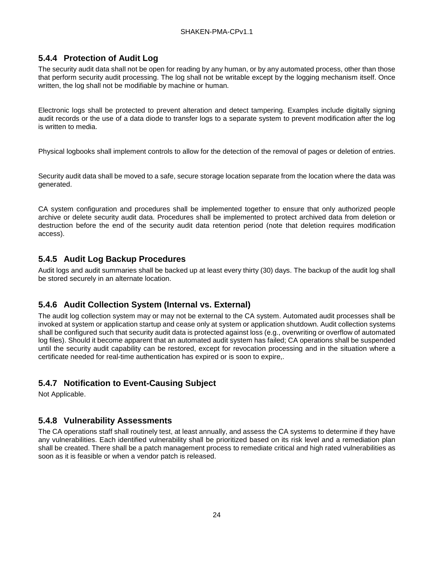### <span id="page-29-0"></span>**5.4.4 Protection of Audit Log**

The security audit data shall not be open for reading by any human, or by any automated process, other than those that perform security audit processing. The log shall not be writable except by the logging mechanism itself. Once written, the log shall not be modifiable by machine or human.

Electronic logs shall be protected to prevent alteration and detect tampering. Examples include digitally signing audit records or the use of a data diode to transfer logs to a separate system to prevent modification after the log is written to media.

Physical logbooks shall implement controls to allow for the detection of the removal of pages or deletion of entries.

Security audit data shall be moved to a safe, secure storage location separate from the location where the data was generated.

CA system configuration and procedures shall be implemented together to ensure that only authorized people archive or delete security audit data. Procedures shall be implemented to protect archived data from deletion or destruction before the end of the security audit data retention period (note that deletion requires modification access).

#### <span id="page-29-1"></span>**5.4.5 Audit Log Backup Procedures**

Audit logs and audit summaries shall be backed up at least every thirty (30) days. The backup of the audit log shall be stored securely in an alternate location.

#### <span id="page-29-2"></span>**5.4.6 Audit Collection System (Internal vs. External)**

The audit log collection system may or may not be external to the CA system. Automated audit processes shall be invoked at system or application startup and cease only at system or application shutdown. Audit collection systems shall be configured such that security audit data is protected against loss (e.g., overwriting or overflow of automated log files). Should it become apparent that an automated audit system has failed; CA operations shall be suspended until the security audit capability can be restored, except for revocation processing and in the situation where a certificate needed for real-time authentication has expired or is soon to expire,.

#### <span id="page-29-3"></span>**5.4.7 Notification to Event-Causing Subject**

Not Applicable.

#### <span id="page-29-4"></span>**5.4.8 Vulnerability Assessments**

The CA operations staff shall routinely test, at least annually, and assess the CA systems to determine if they have any vulnerabilities. Each identified vulnerability shall be prioritized based on its risk level and a remediation plan shall be created. There shall be a patch management process to remediate critical and high rated vulnerabilities as soon as it is feasible or when a vendor patch is released.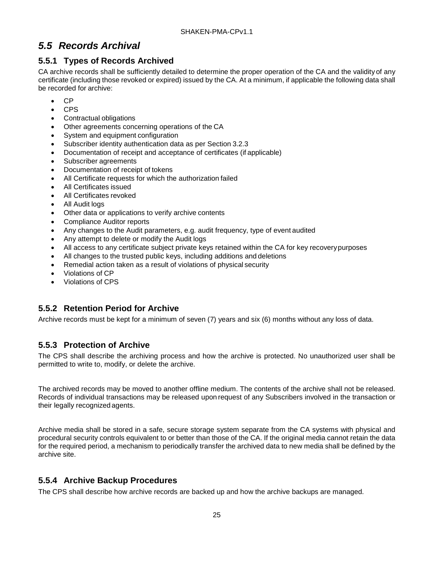## <span id="page-30-0"></span>*5.5 Records Archival*

### <span id="page-30-1"></span>**5.5.1 Types of Records Archived**

CA archive records shall be sufficiently detailed to determine the proper operation of the CA and the validity of any certificate (including those revoked or expired) issued by the CA. At a minimum, if applicable the following data shall be recorded for archive:

- CP
- CPS
- Contractual obligations
- Other agreements concerning operations of the CA
- System and equipment configuration
- Subscriber identity authentication data as per Section 3.2.3
- Documentation of receipt and acceptance of certificates (if applicable)
- Subscriber agreements
- Documentation of receipt of tokens
- All Certificate requests for which the authorization failed
- All Certificates issued
- All Certificates revoked
- All Audit logs
- Other data or applications to verify archive contents
- Compliance Auditor reports
- Any changes to the Audit parameters, e.g. audit frequency, type of event audited
- Any attempt to delete or modify the Audit logs
- All access to any certificate subject private keys retained within the CA for key recoverypurposes
- All changes to the trusted public keys, including additions and deletions
- Remedial action taken as a result of violations of physical security
- Violations of CP
- Violations of CPS

### <span id="page-30-2"></span>**5.5.2 Retention Period for Archive**

Archive records must be kept for a minimum of seven (7) years and six (6) months without any loss of data.

#### <span id="page-30-3"></span>**5.5.3 Protection of Archive**

The CPS shall describe the archiving process and how the archive is protected. No unauthorized user shall be permitted to write to, modify, or delete the archive.

The archived records may be moved to another offline medium. The contents of the archive shall not be released. Records of individual transactions may be released upon request of any Subscribers involved in the transaction or their legally recognized agents.

Archive media shall be stored in a safe, secure storage system separate from the CA systems with physical and procedural security controls equivalent to or better than those of the CA. If the original media cannot retain the data for the required period, a mechanism to periodically transfer the archived data to new media shall be defined by the archive site.

### <span id="page-30-4"></span>**5.5.4 Archive Backup Procedures**

The CPS shall describe how archive records are backed up and how the archive backups are managed.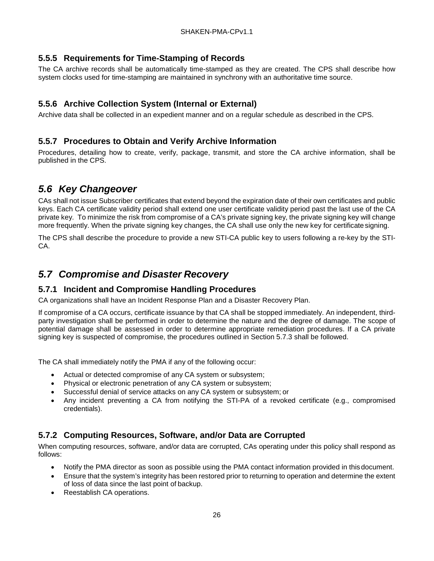### <span id="page-31-0"></span>**5.5.5 Requirements for Time-Stamping of Records**

The CA archive records shall be automatically time-stamped as they are created. The CPS shall describe how system clocks used for time-stamping are maintained in synchrony with an authoritative time source.

### <span id="page-31-1"></span>**5.5.6 Archive Collection System (Internal or External)**

Archive data shall be collected in an expedient manner and on a regular schedule as described in the CPS.

#### <span id="page-31-2"></span>**5.5.7 Procedures to Obtain and Verify Archive Information**

Procedures, detailing how to create, verify, package, transmit, and store the CA archive information, shall be published in the CPS.

### <span id="page-31-3"></span>*5.6 Key Changeover*

CAs shall not issue Subscriber certificates that extend beyond the expiration date of their own certificates and public keys. Each CA certificate validity period shall extend one user certificate validity period past the last use of the CA private key. To minimize the risk from compromise of a CA's private signing key, the private signing key will change more frequently. When the private signing key changes, the CA shall use only the new key for certificate signing.

The CPS shall describe the procedure to provide a new STI-CA public key to users following a re-key by the STI-CA.

### <span id="page-31-4"></span>*5.7 Compromise and Disaster Recovery*

#### <span id="page-31-5"></span>**5.7.1 Incident and Compromise Handling Procedures**

CA organizations shall have an Incident Response Plan and a Disaster Recovery Plan.

If compromise of a CA occurs, certificate issuance by that CA shall be stopped immediately. An independent, thirdparty investigation shall be performed in order to determine the nature and the degree of damage. The scope of potential damage shall be assessed in order to determine appropriate remediation procedures. If a CA private signing key is suspected of compromise, the procedures outlined in Section 5.7.3 shall be followed.

The CA shall immediately notify the PMA if any of the following occur:

- Actual or detected compromise of any CA system or subsystem;
- Physical or electronic penetration of any CA system or subsystem;
- Successful denial of service attacks on any CA system or subsystem; or
- Any incident preventing a CA from notifying the STI-PA of a revoked certificate (e.g., compromised credentials).

#### <span id="page-31-6"></span>**5.7.2 Computing Resources, Software, and/or Data are Corrupted**

When computing resources, software, and/or data are corrupted, CAs operating under this policy shall respond as follows:

- Notify the PMA director as soon as possible using the PMA contact information provided in thisdocument.
- Ensure that the system's integrity has been restored prior to returning to operation and determine the extent of loss of data since the last point of backup.
- Reestablish CA operations.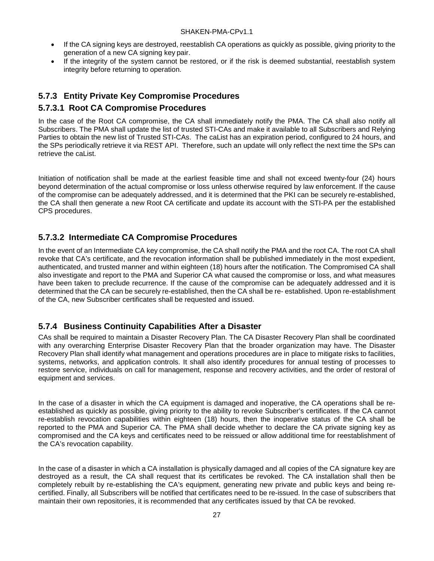- If the CA signing keys are destroyed, reestablish CA operations as quickly as possible, giving priority to the generation of a new CA signing key pair.
- If the integrity of the system cannot be restored, or if the risk is deemed substantial, reestablish system integrity before returning to operation.

### <span id="page-32-0"></span>**5.7.3 Entity Private Key Compromise Procedures**

#### **5.7.3.1 Root CA Compromise Procedures**

In the case of the Root CA compromise, the CA shall immediately notify the PMA. The CA shall also notify all Subscribers. The PMA shall update the list of trusted STI-CAs and make it available to all Subscribers and Relying Parties to obtain the new list of Trusted STI-CAs. The caList has an expiration period, configured to 24 hours, and the SPs periodically retrieve it via REST API. Therefore, such an update will only reflect the next time the SPs can retrieve the caList.

Initiation of notification shall be made at the earliest feasible time and shall not exceed twenty-four (24) hours beyond determination of the actual compromise or loss unless otherwise required by law enforcement. If the cause of the compromise can be adequately addressed, and it is determined that the PKI can be securely re-established, the CA shall then generate a new Root CA certificate and update its account with the STI-PA per the established CPS procedures.

#### **5.7.3.2 Intermediate CA Compromise Procedures**

In the event of an Intermediate CA key compromise, the CA shall notify the PMA and the root CA. The root CA shall revoke that CA's certificate, and the revocation information shall be published immediately in the most expedient, authenticated, and trusted manner and within eighteen (18) hours after the notification. The Compromised CA shall also investigate and report to the PMA and Superior CA what caused the compromise or loss, and what measures have been taken to preclude recurrence. If the cause of the compromise can be adequately addressed and it is determined that the CA can be securely re-established, then the CA shall be re- established. Upon re-establishment of the CA, new Subscriber certificates shall be requested and issued.

#### <span id="page-32-1"></span>**5.7.4 Business Continuity Capabilities After a Disaster**

CAs shall be required to maintain a Disaster Recovery Plan. The CA Disaster Recovery Plan shall be coordinated with any overarching Enterprise Disaster Recovery Plan that the broader organization may have. The Disaster Recovery Plan shall identify what management and operations procedures are in place to mitigate risks to facilities, systems, networks, and application controls. It shall also identify procedures for annual testing of processes to restore service, individuals on call for management, response and recovery activities, and the order of restoral of equipment and services.

In the case of a disaster in which the CA equipment is damaged and inoperative, the CA operations shall be reestablished as quickly as possible, giving priority to the ability to revoke Subscriber's certificates. If the CA cannot re-establish revocation capabilities within eighteen (18) hours, then the inoperative status of the CA shall be reported to the PMA and Superior CA. The PMA shall decide whether to declare the CA private signing key as compromised and the CA keys and certificates need to be reissued or allow additional time for reestablishment of the CA's revocation capability.

In the case of a disaster in which a CA installation is physically damaged and all copies of the CA signature key are destroyed as a result, the CA shall request that its certificates be revoked. The CA installation shall then be completely rebuilt by re-establishing the CA's equipment, generating new private and public keys and being recertified. Finally, all Subscribers will be notified that certificates need to be re-issued. In the case of subscribers that maintain their own repositories, it is recommended that any certificates issued by that CA be revoked.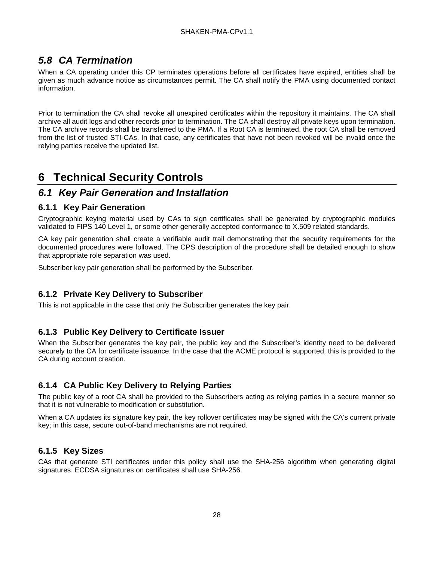## <span id="page-33-0"></span>*5.8 CA Termination*

When a CA operating under this CP terminates operations before all certificates have expired, entities shall be given as much advance notice as circumstances permit. The CA shall notify the PMA using documented contact information.

Prior to termination the CA shall revoke all unexpired certificates within the repository it maintains. The CA shall archive all audit logs and other records prior to termination. The CA shall destroy all private keys upon termination. The CA archive records shall be transferred to the PMA. If a Root CA is terminated, the root CA shall be removed from the list of trusted STI-CAs. In that case, any certificates that have not been revoked will be invalid once the relying parties receive the updated list.

# <span id="page-33-1"></span>**6 Technical Security Controls**

### <span id="page-33-2"></span>*6.1 Key Pair Generation and Installation*

#### <span id="page-33-3"></span>**6.1.1 Key Pair Generation**

Cryptographic keying material used by CAs to sign certificates shall be generated by cryptographic modules validated to FIPS 140 Level 1, or some other generally accepted conformance to X.509 related standards.

CA key pair generation shall create a verifiable audit trail demonstrating that the security requirements for the documented procedures were followed. The CPS description of the procedure shall be detailed enough to show that appropriate role separation was used.

Subscriber key pair generation shall be performed by the Subscriber.

#### <span id="page-33-4"></span>**6.1.2 Private Key Delivery to Subscriber**

This is not applicable in the case that only the Subscriber generates the key pair.

#### <span id="page-33-5"></span>**6.1.3 Public Key Delivery to Certificate Issuer**

When the Subscriber generates the key pair, the public key and the Subscriber's identity need to be delivered securely to the CA for certificate issuance. In the case that the ACME protocol is supported, this is provided to the CA during account creation.

#### <span id="page-33-6"></span>**6.1.4 CA Public Key Delivery to Relying Parties**

The public key of a root CA shall be provided to the Subscribers acting as relying parties in a secure manner so that it is not vulnerable to modification or substitution.

When a CA updates its signature key pair, the key rollover certificates may be signed with the CA's current private key; in this case, secure out-of-band mechanisms are not required.

#### <span id="page-33-7"></span>**6.1.5 Key Sizes**

CAs that generate STI certificates under this policy shall use the SHA-256 algorithm when generating digital signatures. ECDSA signatures on certificates shall use SHA-256.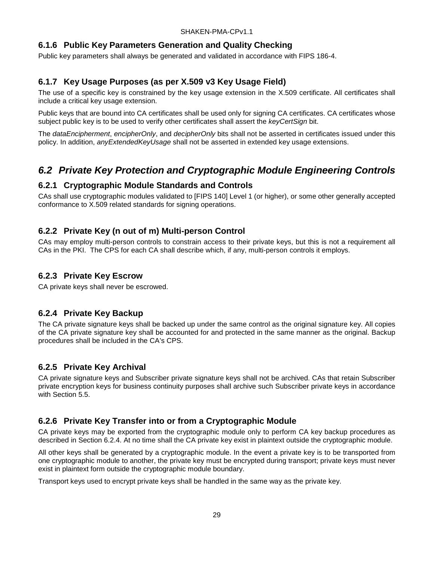#### <span id="page-34-0"></span>**6.1.6 Public Key Parameters Generation and Quality Checking**

Public key parameters shall always be generated and validated in accordance with FIPS 186-4.

### <span id="page-34-1"></span>**6.1.7 Key Usage Purposes (as per X.509 v3 Key Usage Field)**

The use of a specific key is constrained by the key usage extension in the X.509 certificate. All certificates shall include a critical key usage extension.

Public keys that are bound into CA certificates shall be used only for signing CA certificates. CA certificates whose subject public key is to be used to verify other certificates shall assert the *keyCertSign* bit.

The *dataEncipherment*, *encipherOnly*, and *decipherOnly* bits shall not be asserted in certificates issued under this policy. In addition, *anyExtendedKeyUsage* shall not be asserted in extended key usage extensions.

## <span id="page-34-2"></span>*6.2 Private Key Protection and Cryptographic Module Engineering Controls*

#### <span id="page-34-3"></span>**6.2.1 Cryptographic Module Standards and Controls**

CAs shall use cryptographic modules validated to [FIPS 140] Level 1 (or higher), or some other generally accepted conformance to X.509 related standards for signing operations.

#### <span id="page-34-4"></span>**6.2.2 Private Key (n out of m) Multi-person Control**

CAs may employ multi-person controls to constrain access to their private keys, but this is not a requirement all CAs in the PKI. The CPS for each CA shall describe which, if any, multi-person controls it employs.

#### <span id="page-34-5"></span>**6.2.3 Private Key Escrow**

CA private keys shall never be escrowed.

#### <span id="page-34-6"></span>**6.2.4 Private Key Backup**

The CA private signature keys shall be backed up under the same control as the original signature key. All copies of the CA private signature key shall be accounted for and protected in the same manner as the original. Backup procedures shall be included in the CA's CPS.

#### <span id="page-34-7"></span>**6.2.5 Private Key Archival**

CA private signature keys and Subscriber private signature keys shall not be archived. CAs that retain Subscriber private encryption keys for business continuity purposes shall archive such Subscriber private keys in accordance with Section 5.5.

#### <span id="page-34-8"></span>**6.2.6 Private Key Transfer into or from a Cryptographic Module**

CA private keys may be exported from the cryptographic module only to perform CA key backup procedures as described in Section 6.2.4. At no time shall the CA private key exist in plaintext outside the cryptographic module.

All other keys shall be generated by a cryptographic module. In the event a private key is to be transported from one cryptographic module to another, the private key must be encrypted during transport; private keys must never exist in plaintext form outside the cryptographic module boundary.

Transport keys used to encrypt private keys shall be handled in the same way as the private key.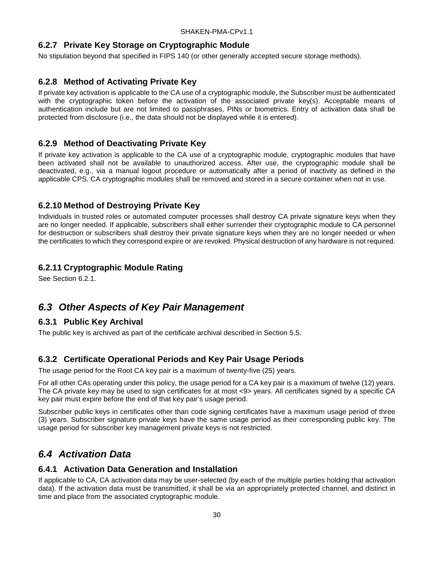#### <span id="page-35-0"></span>**6.2.7 Private Key Storage on Cryptographic Module**

No stipulation beyond that specified in FIPS 140 (or other generally accepted secure storage methods).

#### <span id="page-35-1"></span>**6.2.8 Method of Activating Private Key**

If private key activation is applicable to the CA use of a cryptographic module, the Subscriber must be authenticated with the cryptographic token before the activation of the associated private key(s). Acceptable means of authentication include but are not limited to passphrases, PINs or biometrics. Entry of activation data shall be protected from disclosure (i.e., the data should not be displayed while it is entered).

#### <span id="page-35-2"></span>**6.2.9 Method of Deactivating Private Key**

If private key activation is applicable to the CA use of a cryptographic module, cryptographic modules that have been activated shall not be available to unauthorized access. After use, the cryptographic module shall be deactivated, e.g., via a manual logout procedure or automatically after a period of inactivity as defined in the applicable CPS. CA cryptographic modules shall be removed and stored in a secure container when not in use.

#### <span id="page-35-3"></span>**6.2.10 Method of Destroying Private Key**

Individuals in trusted roles or automated computer processes shall destroy CA private signature keys when they are no longer needed. If applicable, subscribers shall either surrender their cryptographic module to CA personnel for destruction or subscribers shall destroy their private signature keys when they are no longer needed or when the certificates to which they correspond expire or are revoked. Physical destruction of any hardware is not required.

#### <span id="page-35-4"></span>**6.2.11 Cryptographic Module Rating**

See Section 6.2.1.

### <span id="page-35-5"></span>*6.3 Other Aspects of Key Pair Management*

#### <span id="page-35-6"></span>**6.3.1 Public Key Archival**

The public key is archived as part of the certificate archival described in Section 5.5.

#### <span id="page-35-7"></span>**6.3.2 Certificate Operational Periods and Key Pair Usage Periods**

The usage period for the Root CA key pair is a maximum of twenty-five (25) years.

For all other CAs operating under this policy, the usage period for a CA key pair is a maximum of twelve (12) years. The CA private key may be used to sign certificates for at most <9> years. All certificates signed by a specific CA key pair must expire before the end of that key pair's usage period.

Subscriber public keys in certificates other than code signing certificates have a maximum usage period of three (3) years. Subscriber signature private keys have the same usage period as their corresponding public key. The usage period for subscriber key management private keys is not restricted.

### <span id="page-35-8"></span>*6.4 Activation Data*

#### <span id="page-35-9"></span>**6.4.1 Activation Data Generation and Installation**

If applicable to CA, CA activation data may be user-selected (by each of the multiple parties holding that activation data). If the activation data must be transmitted, it shall be via an appropriately protected channel, and distinct in time and place from the associated cryptographic module.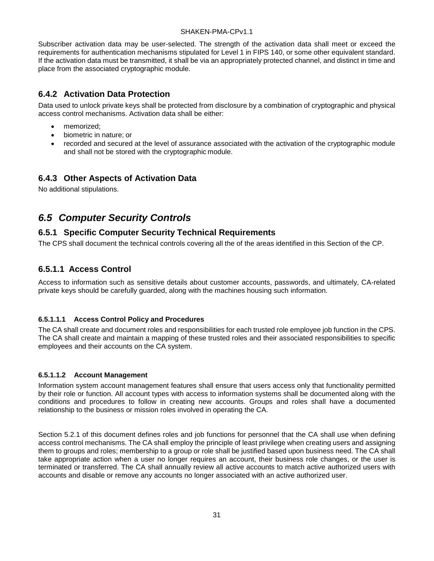Subscriber activation data may be user-selected. The strength of the activation data shall meet or exceed the requirements for authentication mechanisms stipulated for Level 1 in FIPS 140, or some other equivalent standard. If the activation data must be transmitted, it shall be via an appropriately protected channel, and distinct in time and place from the associated cryptographic module.

#### <span id="page-36-0"></span>**6.4.2 Activation Data Protection**

Data used to unlock private keys shall be protected from disclosure by a combination of cryptographic and physical access control mechanisms. Activation data shall be either:

- memorized;
- biometric in nature; or
- recorded and secured at the level of assurance associated with the activation of the cryptographic module and shall not be stored with the cryptographic module.

#### <span id="page-36-1"></span>**6.4.3 Other Aspects of Activation Data**

No additional stipulations.

## <span id="page-36-2"></span>*6.5 Computer Security Controls*

#### <span id="page-36-3"></span>**6.5.1 Specific Computer Security Technical Requirements**

The CPS shall document the technical controls covering all the of the areas identified in this Section of the CP.

#### **6.5.1.1 Access Control**

Access to information such as sensitive details about customer accounts, passwords, and ultimately, CA-related private keys should be carefully guarded, along with the machines housing such information.

#### **6.5.1.1.1 Access Control Policy and Procedures**

The CA shall create and document roles and responsibilities for each trusted role employee job function in the CPS. The CA shall create and maintain a mapping of these trusted roles and their associated responsibilities to specific employees and their accounts on the CA system.

#### **6.5.1.1.2 Account Management**

Information system account management features shall ensure that users access only that functionality permitted by their role or function. All account types with access to information systems shall be documented along with the conditions and procedures to follow in creating new accounts. Groups and roles shall have a documented relationship to the business or mission roles involved in operating the CA.

Section 5.2.1 of this document defines roles and job functions for personnel that the CA shall use when defining access control mechanisms. The CA shall employ the principle of least privilege when creating users and assigning them to groups and roles; membership to a group or role shall be justified based upon business need. The CA shall take appropriate action when a user no longer requires an account, their business role changes, or the user is terminated or transferred. The CA shall annually review all active accounts to match active authorized users with accounts and disable or remove any accounts no longer associated with an active authorized user.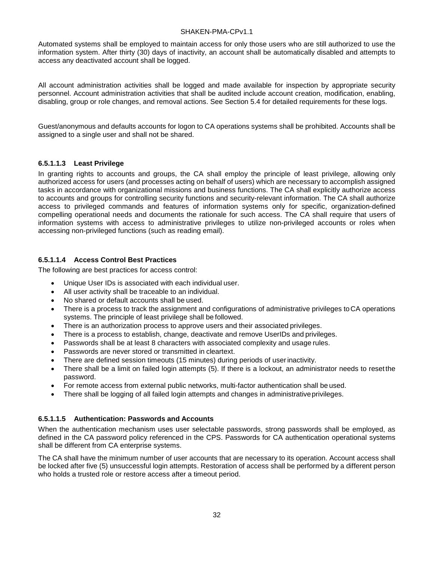Automated systems shall be employed to maintain access for only those users who are still authorized to use the information system. After thirty (30) days of inactivity, an account shall be automatically disabled and attempts to access any deactivated account shall be logged.

All account administration activities shall be logged and made available for inspection by appropriate security personnel. Account administration activities that shall be audited include account creation, modification, enabling, disabling, group or role changes, and removal actions. See Section 5.4 for detailed requirements for these logs.

Guest/anonymous and defaults accounts for logon to CA operations systems shall be prohibited. Accounts shall be assigned to a single user and shall not be shared.

#### **6.5.1.1.3 Least Privilege**

In granting rights to accounts and groups, the CA shall employ the principle of least privilege, allowing only authorized access for users (and processes acting on behalf of users) which are necessary to accomplish assigned tasks in accordance with organizational missions and business functions. The CA shall explicitly authorize access to accounts and groups for controlling security functions and security-relevant information. The CA shall authorize access to privileged commands and features of information systems only for specific, organization-defined compelling operational needs and documents the rationale for such access. The CA shall require that users of information systems with access to administrative privileges to utilize non-privileged accounts or roles when accessing non-privileged functions (such as reading email).

#### **6.5.1.1.4 Access Control Best Practices**

The following are best practices for access control:

- Unique User IDs is associated with each individual user.
- All user activity shall be traceable to an individual.
- No shared or default accounts shall be used.
- There is a process to track the assignment and configurations of administrative privileges to CA operations systems. The principle of least privilege shall be followed.
- There is an authorization process to approve users and their associated privileges.
- There is a process to establish, change, deactivate and remove UserIDs and privileges.
- Passwords shall be at least 8 characters with associated complexity and usage rules.
- Passwords are never stored or transmitted in cleartext.
- There are defined session timeouts (15 minutes) during periods of userinactivity.
- There shall be a limit on failed login attempts (5). If there is a lockout, an administrator needs to resetthe password.
- For remote access from external public networks, multi-factor authentication shall be used.
- There shall be logging of all failed login attempts and changes in administrativeprivileges.

#### **6.5.1.1.5 Authentication: Passwords and Accounts**

When the authentication mechanism uses user selectable passwords, strong passwords shall be employed, as defined in the CA password policy referenced in the CPS. Passwords for CA authentication operational systems shall be different from CA enterprise systems.

The CA shall have the minimum number of user accounts that are necessary to its operation. Account access shall be locked after five (5) unsuccessful login attempts. Restoration of access shall be performed by a different person who holds a trusted role or restore access after a timeout period.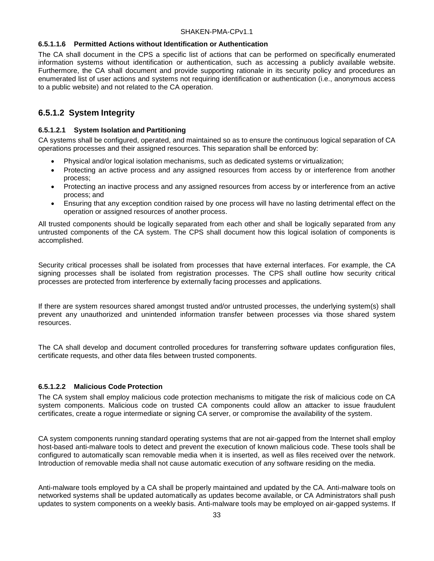#### **6.5.1.1.6 Permitted Actions without Identification or Authentication**

The CA shall document in the CPS a specific list of actions that can be performed on specifically enumerated information systems without identification or authentication, such as accessing a publicly available website. Furthermore, the CA shall document and provide supporting rationale in its security policy and procedures an enumerated list of user actions and systems not requiring identification or authentication (i.e., anonymous access to a public website) and not related to the CA operation.

#### **6.5.1.2 System Integrity**

#### **6.5.1.2.1 System Isolation and Partitioning**

CA systems shall be configured, operated, and maintained so as to ensure the continuous logical separation of CA operations processes and their assigned resources. This separation shall be enforced by:

- Physical and/or logical isolation mechanisms, such as dedicated systems or virtualization;
- Protecting an active process and any assigned resources from access by or interference from another process;
- Protecting an inactive process and any assigned resources from access by or interference from an active process; and
- Ensuring that any exception condition raised by one process will have no lasting detrimental effect on the operation or assigned resources of another process.

All trusted components should be logically separated from each other and shall be logically separated from any untrusted components of the CA system. The CPS shall document how this logical isolation of components is accomplished.

Security critical processes shall be isolated from processes that have external interfaces. For example, the CA signing processes shall be isolated from registration processes. The CPS shall outline how security critical processes are protected from interference by externally facing processes and applications.

If there are system resources shared amongst trusted and/or untrusted processes, the underlying system(s) shall prevent any unauthorized and unintended information transfer between processes via those shared system resources.

The CA shall develop and document controlled procedures for transferring software updates configuration files, certificate requests, and other data files between trusted components.

#### **6.5.1.2.2 Malicious Code Protection**

The CA system shall employ malicious code protection mechanisms to mitigate the risk of malicious code on CA system components. Malicious code on trusted CA components could allow an attacker to issue fraudulent certificates, create a rogue intermediate or signing CA server, or compromise the availability of the system.

CA system components running standard operating systems that are not air-gapped from the Internet shall employ host-based anti-malware tools to detect and prevent the execution of known malicious code. These tools shall be configured to automatically scan removable media when it is inserted, as well as files received over the network. Introduction of removable media shall not cause automatic execution of any software residing on the media.

Anti-malware tools employed by a CA shall be properly maintained and updated by the CA. Anti-malware tools on networked systems shall be updated automatically as updates become available, or CA Administrators shall push updates to system components on a weekly basis. Anti-malware tools may be employed on air-gapped systems. If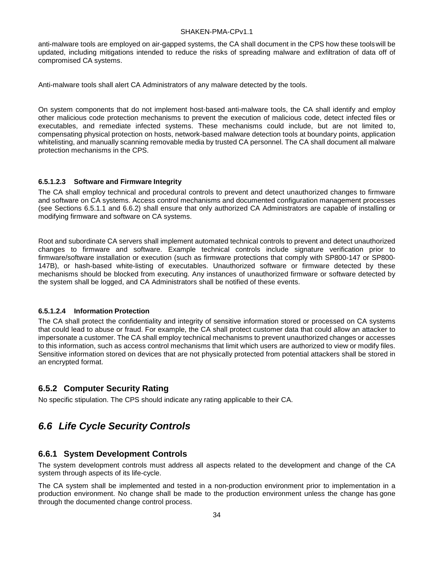anti-malware tools are employed on air-gapped systems, the CA shall document in the CPS how these toolswill be updated, including mitigations intended to reduce the risks of spreading malware and exfiltration of data off of compromised CA systems.

Anti-malware tools shall alert CA Administrators of any malware detected by the tools.

On system components that do not implement host-based anti-malware tools, the CA shall identify and employ other malicious code protection mechanisms to prevent the execution of malicious code, detect infected files or executables, and remediate infected systems. These mechanisms could include, but are not limited to, compensating physical protection on hosts, network-based malware detection tools at boundary points, application whitelisting, and manually scanning removable media by trusted CA personnel. The CA shall document all malware protection mechanisms in the CPS.

#### **6.5.1.2.3 Software and Firmware Integrity**

The CA shall employ technical and procedural controls to prevent and detect unauthorized changes to firmware and software on CA systems. Access control mechanisms and documented configuration management processes (see Sections 6.5.1.1 and 6.6.2) shall ensure that only authorized CA Administrators are capable of installing or modifying firmware and software on CA systems.

Root and subordinate CA servers shall implement automated technical controls to prevent and detect unauthorized changes to firmware and software. Example technical controls include signature verification prior to firmware/software installation or execution (such as firmware protections that comply with SP800-147 or SP800- 147B), or hash-based white-listing of executables. Unauthorized software or firmware detected by these mechanisms should be blocked from executing. Any instances of unauthorized firmware or software detected by the system shall be logged, and CA Administrators shall be notified of these events.

#### **6.5.1.2.4 Information Protection**

The CA shall protect the confidentiality and integrity of sensitive information stored or processed on CA systems that could lead to abuse or fraud. For example, the CA shall protect customer data that could allow an attacker to impersonate a customer. The CA shall employ technical mechanisms to prevent unauthorized changes or accesses to this information, such as access control mechanisms that limit which users are authorized to view or modify files. Sensitive information stored on devices that are not physically protected from potential attackers shall be stored in an encrypted format.

#### <span id="page-39-0"></span>**6.5.2 Computer Security Rating**

No specific stipulation. The CPS should indicate any rating applicable to their CA.

## <span id="page-39-1"></span>*6.6 Life Cycle Security Controls*

#### <span id="page-39-2"></span>**6.6.1 System Development Controls**

The system development controls must address all aspects related to the development and change of the CA system through aspects of its life-cycle.

The CA system shall be implemented and tested in a non-production environment prior to implementation in a production environment. No change shall be made to the production environment unless the change has gone through the documented change control process.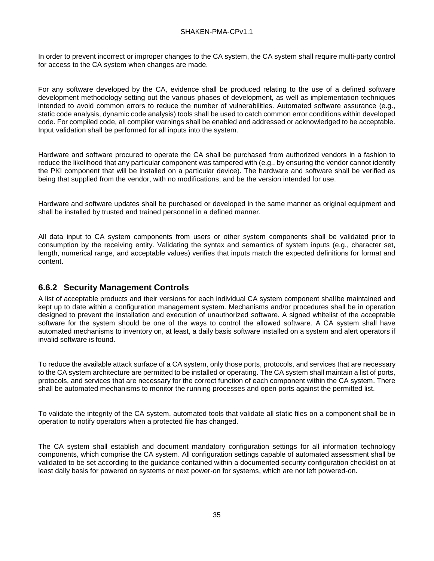In order to prevent incorrect or improper changes to the CA system, the CA system shall require multi-party control for access to the CA system when changes are made.

For any software developed by the CA, evidence shall be produced relating to the use of a defined software development methodology setting out the various phases of development, as well as implementation techniques intended to avoid common errors to reduce the number of vulnerabilities. Automated software assurance (e.g., static code analysis, dynamic code analysis) tools shall be used to catch common error conditions within developed code. For compiled code, all compiler warnings shall be enabled and addressed or acknowledged to be acceptable. Input validation shall be performed for all inputs into the system.

Hardware and software procured to operate the CA shall be purchased from authorized vendors in a fashion to reduce the likelihood that any particular component was tampered with (e.g., by ensuring the vendor cannot identify the PKI component that will be installed on a particular device). The hardware and software shall be verified as being that supplied from the vendor, with no modifications, and be the version intended for use.

Hardware and software updates shall be purchased or developed in the same manner as original equipment and shall be installed by trusted and trained personnel in a defined manner.

All data input to CA system components from users or other system components shall be validated prior to consumption by the receiving entity. Validating the syntax and semantics of system inputs (e.g., character set, length, numerical range, and acceptable values) verifies that inputs match the expected definitions for format and content.

#### <span id="page-40-0"></span>**6.6.2 Security Management Controls**

A list of acceptable products and their versions for each individual CA system component shallbe maintained and kept up to date within a configuration management system. Mechanisms and/or procedures shall be in operation designed to prevent the installation and execution of unauthorized software. A signed whitelist of the acceptable software for the system should be one of the ways to control the allowed software. A CA system shall have automated mechanisms to inventory on, at least, a daily basis software installed on a system and alert operators if invalid software is found.

To reduce the available attack surface of a CA system, only those ports, protocols, and services that are necessary to the CA system architecture are permitted to be installed or operating. The CA system shall maintain a list of ports, protocols, and services that are necessary for the correct function of each component within the CA system. There shall be automated mechanisms to monitor the running processes and open ports against the permitted list.

To validate the integrity of the CA system, automated tools that validate all static files on a component shall be in operation to notify operators when a protected file has changed.

The CA system shall establish and document mandatory configuration settings for all information technology components, which comprise the CA system. All configuration settings capable of automated assessment shall be validated to be set according to the guidance contained within a documented security configuration checklist on at least daily basis for powered on systems or next power-on for systems, which are not left powered-on.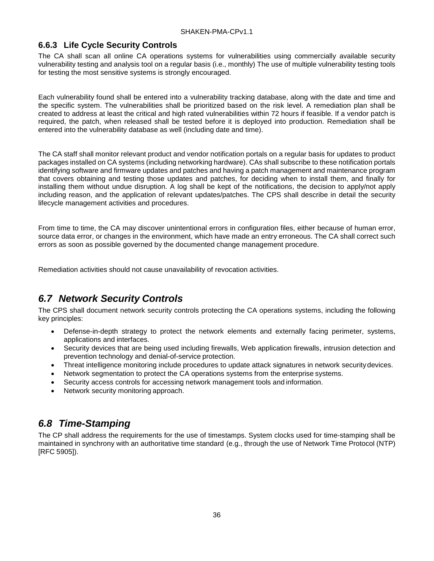#### <span id="page-41-0"></span>**6.6.3 Life Cycle Security Controls**

The CA shall scan all online CA operations systems for vulnerabilities using commercially available security vulnerability testing and analysis tool on a regular basis (i.e., monthly) The use of multiple vulnerability testing tools for testing the most sensitive systems is strongly encouraged.

Each vulnerability found shall be entered into a vulnerability tracking database, along with the date and time and the specific system. The vulnerabilities shall be prioritized based on the risk level. A remediation plan shall be created to address at least the critical and high rated vulnerabilities within 72 hours if feasible. If a vendor patch is required, the patch, when released shall be tested before it is deployed into production. Remediation shall be entered into the vulnerability database as well (including date and time).

The CA staff shall monitor relevant product and vendor notification portals on a regular basis for updates to product packages installed on CA systems (including networking hardware). CAs shall subscribe to these notification portals identifying software and firmware updates and patches and having a patch management and maintenance program that covers obtaining and testing those updates and patches, for deciding when to install them, and finally for installing them without undue disruption. A log shall be kept of the notifications, the decision to apply/not apply including reason, and the application of relevant updates/patches. The CPS shall describe in detail the security lifecycle management activities and procedures.

From time to time, the CA may discover unintentional errors in configuration files, either because of human error, source data error, or changes in the environment, which have made an entry erroneous. The CA shall correct such errors as soon as possible governed by the documented change management procedure.

Remediation activities should not cause unavailability of revocation activities.

## <span id="page-41-1"></span>*6.7 Network Security Controls*

The CPS shall document network security controls protecting the CA operations systems, including the following key principles:

- Defense-in-depth strategy to protect the network elements and externally facing perimeter, systems, applications and interfaces.
- Security devices that are being used including firewalls, Web application firewalls, intrusion detection and prevention technology and denial-of-service protection.
- Threat intelligence monitoring include procedures to update attack signatures in network securitydevices.
- Network segmentation to protect the CA operations systems from the enterprise systems.
- Security access controls for accessing network management tools and information.
- Network security monitoring approach.

## <span id="page-41-2"></span>*6.8 Time-Stamping*

The CP shall address the requirements for the use of timestamps. System clocks used for time-stamping shall be maintained in synchrony with an authoritative time standard (e.g., through the use of Network Time Protocol (NTP) [RFC 5905]).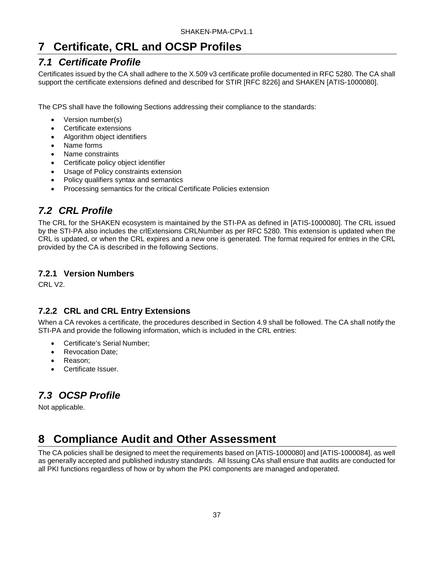# <span id="page-42-0"></span>**7 Certificate, CRL and OCSP Profiles**

## <span id="page-42-1"></span>*7.1 Certificate Profile*

Certificates issued by the CA shall adhere to the X.509 v3 certificate profile documented in RFC 5280. The CA shall support the certificate extensions defined and described for STIR [RFC 8226] and SHAKEN [ATIS-1000080].

The CPS shall have the following Sections addressing their compliance to the standards:

- Version number(s)
- Certificate extensions
- Algorithm object identifiers
- Name forms
- Name constraints
- Certificate policy object identifier
- Usage of Policy constraints extension
- Policy qualifiers syntax and semantics
- Processing semantics for the critical Certificate Policies extension

## <span id="page-42-2"></span>*7.2 CRL Profile*

The CRL for the SHAKEN ecosystem is maintained by the STI-PA as defined in [ATIS-1000080]. The CRL issued by the STI-PA also includes the crlExtensions CRLNumber as per RFC 5280. This extension is updated when the CRL is updated, or when the CRL expires and a new one is generated. The format required for entries in the CRL provided by the CA is described in the following Sections.

#### <span id="page-42-3"></span>**7.2.1 Version Numbers**

CRL V2.

### <span id="page-42-4"></span>**7.2.2 CRL and CRL Entry Extensions**

When a CA revokes a certificate, the procedures described in Section 4.9 shall be followed. The CA shall notify the STI-PA and provide the following information, which is included in the CRL entries:

- Certificate's Serial Number;
- Revocation Date:
- Reason;
- Certificate Issuer.

# <span id="page-42-5"></span>*7.3 OCSP Profile*

Not applicable.

# <span id="page-42-6"></span>**8 Compliance Audit and Other Assessment**

The CA policies shall be designed to meet the requirements based on [ATIS-1000080] and [ATIS-1000084], as well as generally accepted and published industry standards. All Issuing CAs shall ensure that audits are conducted for all PKI functions regardless of how or by whom the PKI components are managed andoperated.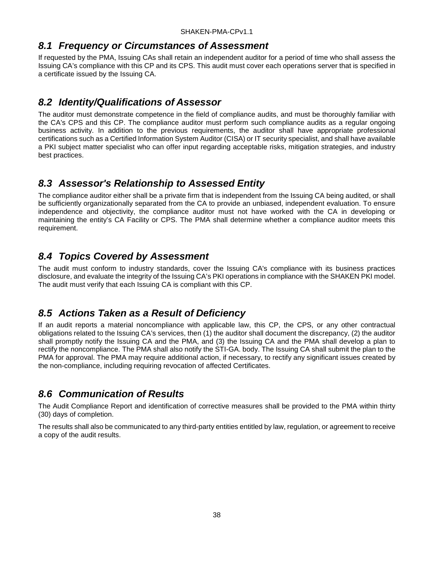### <span id="page-43-0"></span>*8.1 Frequency or Circumstances of Assessment*

If requested by the PMA, Issuing CAs shall retain an independent auditor for a period of time who shall assess the Issuing CA's compliance with this CP and its CPS. This audit must cover each operations server that is specified in a certificate issued by the Issuing CA.

## <span id="page-43-1"></span>*8.2 Identity/Qualifications of Assessor*

The auditor must demonstrate competence in the field of compliance audits, and must be thoroughly familiar with the CA's CPS and this CP. The compliance auditor must perform such compliance audits as a regular ongoing business activity. In addition to the previous requirements, the auditor shall have appropriate professional certifications such as a Certified Information System Auditor (CISA) or IT security specialist, and shall have available a PKI subject matter specialist who can offer input regarding acceptable risks, mitigation strategies, and industry best practices.

## <span id="page-43-2"></span>*8.3 Assessor's Relationship to Assessed Entity*

The compliance auditor either shall be a private firm that is independent from the Issuing CA being audited, or shall be sufficiently organizationally separated from the CA to provide an unbiased, independent evaluation. To ensure independence and objectivity, the compliance auditor must not have worked with the CA in developing or maintaining the entity's CA Facility or CPS. The PMA shall determine whether a compliance auditor meets this requirement.

## <span id="page-43-3"></span>*8.4 Topics Covered by Assessment*

The audit must conform to industry standards, cover the Issuing CA's compliance with its business practices disclosure, and evaluate the integrity of the Issuing CA's PKI operations in compliance with the SHAKEN PKI model. The audit must verify that each Issuing CA is compliant with this CP.

## <span id="page-43-4"></span>*8.5 Actions Taken as a Result of Deficiency*

If an audit reports a material noncompliance with applicable law, this CP, the CPS, or any other contractual obligations related to the Issuing CA's services, then (1) the auditor shall document the discrepancy, (2) the auditor shall promptly notify the Issuing CA and the PMA, and (3) the Issuing CA and the PMA shall develop a plan to rectify the noncompliance. The PMA shall also notify the STI-GA. body. The Issuing CA shall submit the plan to the PMA for approval. The PMA may require additional action, if necessary, to rectify any significant issues created by the non-compliance, including requiring revocation of affected Certificates.

## <span id="page-43-5"></span>*8.6 Communication of Results*

The Audit Compliance Report and identification of corrective measures shall be provided to the PMA within thirty (30) days of completion.

The results shall also be communicated to any third-party entities entitled by law, regulation, or agreement to receive a copy of the audit results.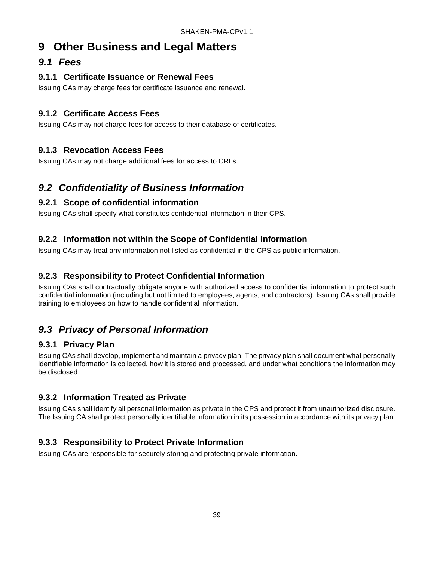# <span id="page-44-0"></span>**9 Other Business and Legal Matters**

### <span id="page-44-1"></span>*9.1 Fees*

#### <span id="page-44-2"></span>**9.1.1 Certificate Issuance or Renewal Fees**

Issuing CAs may charge fees for certificate issuance and renewal.

### <span id="page-44-3"></span>**9.1.2 Certificate Access Fees**

Issuing CAs may not charge fees for access to their database of certificates.

### <span id="page-44-4"></span>**9.1.3 Revocation Access Fees**

Issuing CAs may not charge additional fees for access to CRLs.

## <span id="page-44-5"></span>*9.2 Confidentiality of Business Information*

### <span id="page-44-6"></span>**9.2.1 Scope of confidential information**

Issuing CAs shall specify what constitutes confidential information in their CPS.

### <span id="page-44-7"></span>**9.2.2 Information not within the Scope of Confidential Information**

Issuing CAs may treat any information not listed as confidential in the CPS as public information.

### <span id="page-44-8"></span>**9.2.3 Responsibility to Protect Confidential Information**

Issuing CAs shall contractually obligate anyone with authorized access to confidential information to protect such confidential information (including but not limited to employees, agents, and contractors). Issuing CAs shall provide training to employees on how to handle confidential information.

## <span id="page-44-9"></span>*9.3 Privacy of Personal Information*

#### <span id="page-44-10"></span>**9.3.1 Privacy Plan**

Issuing CAs shall develop, implement and maintain a privacy plan. The privacy plan shall document what personally identifiable information is collected, how it is stored and processed, and under what conditions the information may be disclosed.

#### <span id="page-44-11"></span>**9.3.2 Information Treated as Private**

Issuing CAs shall identify all personal information as private in the CPS and protect it from unauthorized disclosure. The Issuing CA shall protect personally identifiable information in its possession in accordance with its privacy plan.

### <span id="page-44-12"></span>**9.3.3 Responsibility to Protect Private Information**

Issuing CAs are responsible for securely storing and protecting private information.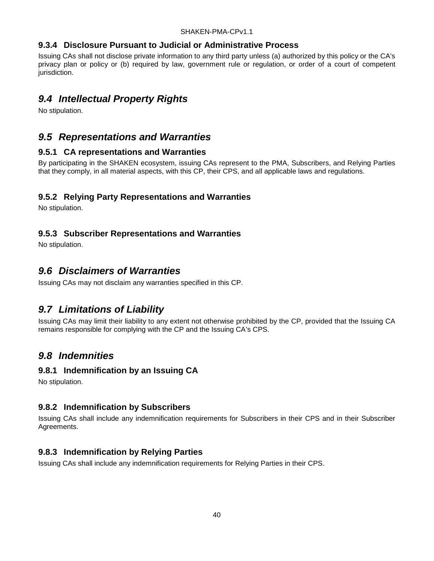#### <span id="page-45-0"></span>**9.3.4 Disclosure Pursuant to Judicial or Administrative Process**

Issuing CAs shall not disclose private information to any third party unless (a) authorized by this policy or the CA's privacy plan or policy or (b) required by law, government rule or regulation, or order of a court of competent jurisdiction.

### <span id="page-45-1"></span>*9.4 Intellectual Property Rights*

No stipulation.

### <span id="page-45-2"></span>*9.5 Representations and Warranties*

#### <span id="page-45-3"></span>**9.5.1 CA representations and Warranties**

By participating in the SHAKEN ecosystem, issuing CAs represent to the PMA, Subscribers, and Relying Parties that they comply, in all material aspects, with this CP, their CPS, and all applicable laws and regulations.

#### <span id="page-45-4"></span>**9.5.2 Relying Party Representations and Warranties**

No stipulation.

#### <span id="page-45-5"></span>**9.5.3 Subscriber Representations and Warranties**

No stipulation.

### <span id="page-45-6"></span>*9.6 Disclaimers of Warranties*

Issuing CAs may not disclaim any warranties specified in this CP.

### <span id="page-45-7"></span>*9.7 Limitations of Liability*

Issuing CAs may limit their liability to any extent not otherwise prohibited by the CP, provided that the Issuing CA remains responsible for complying with the CP and the Issuing CA's CPS.

### <span id="page-45-8"></span>*9.8 Indemnities*

#### <span id="page-45-9"></span>**9.8.1 Indemnification by an Issuing CA**

No stipulation.

#### <span id="page-45-10"></span>**9.8.2 Indemnification by Subscribers**

Issuing CAs shall include any indemnification requirements for Subscribers in their CPS and in their Subscriber Agreements.

#### <span id="page-45-11"></span>**9.8.3 Indemnification by Relying Parties**

Issuing CAs shall include any indemnification requirements for Relying Parties in their CPS.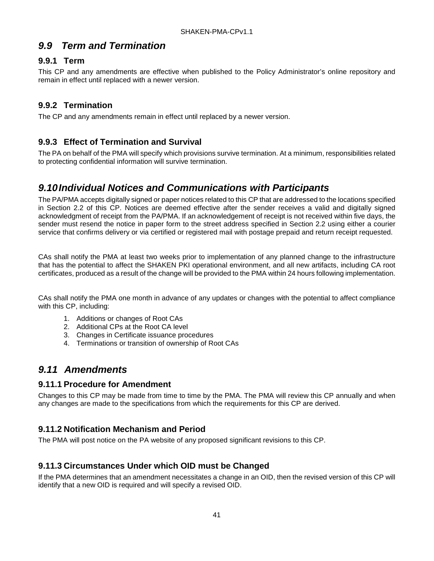### <span id="page-46-0"></span>*9.9 Term and Termination*

#### <span id="page-46-1"></span>**9.9.1 Term**

This CP and any amendments are effective when published to the Policy Administrator's online repository and remain in effect until replaced with a newer version.

#### <span id="page-46-2"></span>**9.9.2 Termination**

The CP and any amendments remain in effect until replaced by a newer version.

#### <span id="page-46-3"></span>**9.9.3 Effect of Termination and Survival**

The PA on behalf of the PMA will specify which provisions survive termination. At a minimum, responsibilities related to protecting confidential information will survive termination.

### <span id="page-46-4"></span>*9.10Individual Notices and Communications with Participants*

The PA/PMA accepts digitally signed or paper notices related to this CP that are addressed to the locations specified in Section 2.2 of this CP. Notices are deemed effective after the sender receives a valid and digitally signed acknowledgment of receipt from the PA/PMA. If an acknowledgement of receipt is not received within five days, the sender must resend the notice in paper form to the street address specified in Section 2.2 using either a courier service that confirms delivery or via certified or registered mail with postage prepaid and return receipt requested.

CAs shall notify the PMA at least two weeks prior to implementation of any planned change to the infrastructure that has the potential to affect the SHAKEN PKI operational environment, and all new artifacts, including CA root certificates, produced as a result of the change will be provided to the PMA within 24 hours following implementation.

CAs shall notify the PMA one month in advance of any updates or changes with the potential to affect compliance with this CP, including:

- 1. Additions or changes of Root CAs
- 2. Additional CPs at the Root CA level
- 3. Changes in Certificate issuance procedures
- 4. Terminations or transition of ownership of Root CAs

### <span id="page-46-5"></span>*9.11 Amendments*

#### <span id="page-46-6"></span>**9.11.1 Procedure for Amendment**

Changes to this CP may be made from time to time by the PMA. The PMA will review this CP annually and when any changes are made to the specifications from which the requirements for this CP are derived.

#### <span id="page-46-7"></span>**9.11.2 Notification Mechanism and Period**

The PMA will post notice on the PA website of any proposed significant revisions to this CP.

#### <span id="page-46-8"></span>**9.11.3 Circumstances Under which OID must be Changed**

If the PMA determines that an amendment necessitates a change in an OID, then the revised version of this CP will identify that a new OID is required and will specify a revised OID.